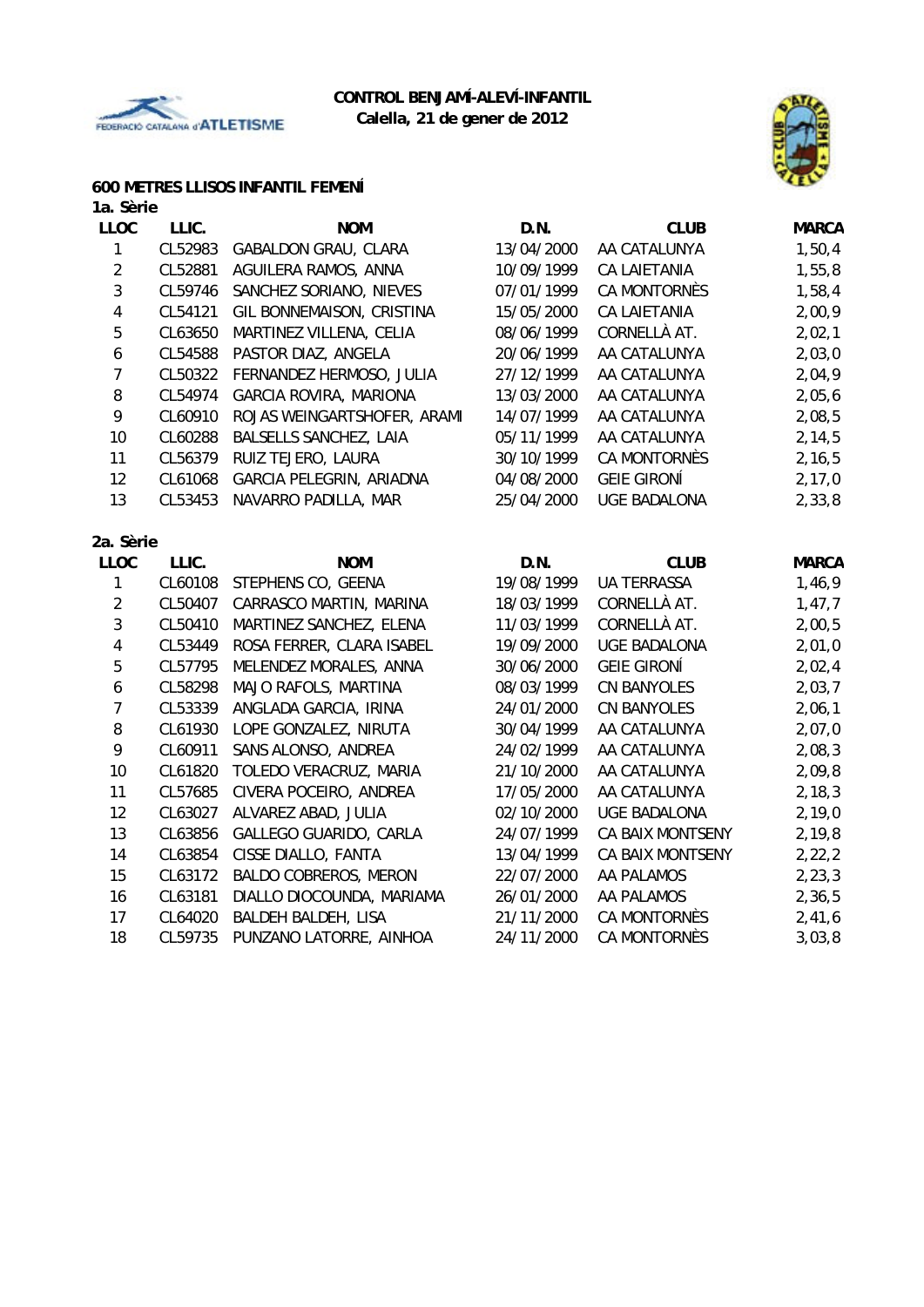



# **600 METRES LLISOS INFANTIL FEMENÍ**

| 1a. Sèrie      |         |                               |            |                     |              |
|----------------|---------|-------------------------------|------------|---------------------|--------------|
| <b>LLOC</b>    | LLIC.   | <b>NOM</b>                    | D.N.       | <b>CLUB</b>         | <b>MARCA</b> |
| 1              | CL52983 | GABALDON GRAU, CLARA          | 13/04/2000 | AA CATALUNYA        | 1,50,4       |
| $\sqrt{2}$     | CL52881 | AGUILERA RAMOS, ANNA          | 10/09/1999 | <b>CA LAIETANIA</b> | 1,55,8       |
| 3              | CL59746 | SANCHEZ SORIANO, NIEVES       | 07/01/1999 | CA MONTORNÈS        | 1,58,4       |
| 4              | CL54121 | GIL BONNEMAISON, CRISTINA     | 15/05/2000 | CA LAIETANIA        | 2,00,9       |
| 5              | CL63650 | MARTINEZ VILLENA, CELIA       | 08/06/1999 | CORNELLÀ AT.        | 2,02,1       |
| 6              | CL54588 | PASTOR DIAZ, ANGELA           | 20/06/1999 | AA CATALUNYA        | 2,03,0       |
| $\overline{7}$ | CL50322 | FERNANDEZ HERMOSO, JULIA      | 27/12/1999 | AA CATALUNYA        | 2,04,9       |
| 8              | CL54974 | <b>GARCIA ROVIRA, MARIONA</b> | 13/03/2000 | AA CATALUNYA        | 2,05,6       |
| 9              | CL60910 | ROJAS WEINGARTSHOFER, ARAMI   | 14/07/1999 | AA CATALUNYA        | 2,08,5       |
| 10             | CL60288 | BALSELLS SANCHEZ, LAIA        | 05/11/1999 | AA CATALUNYA        | 2, 14, 5     |
| 11             | CL56379 | RUIZ TEJERO, LAURA            | 30/10/1999 | CA MONTORNÈS        | 2, 16, 5     |
| 12             | CL61068 | GARCIA PELEGRIN, ARIADNA      | 04/08/2000 | <b>GEIE GIRONÍ</b>  | 2, 17, 0     |
| 13             | CL53453 | NAVARRO PADILLA, MAR          | 25/04/2000 | <b>UGE BADALONA</b> | 2, 33, 8     |
| 2a. Sèrie      |         |                               |            |                     |              |
| <b>LLOC</b>    | LLIC.   | <b>NOM</b>                    | D.N.       | <b>CLUB</b>         | <b>MARCA</b> |
| 1              | CL60108 | STEPHENS CO, GEENA            | 19/08/1999 | <b>UA TERRASSA</b>  | 1,46,9       |
| $\overline{2}$ | CL50407 | CARRASCO MARTIN, MARINA       | 18/03/1999 | CORNELLÀ AT.        | 1,47,7       |
| 3              | CL50410 | MARTINEZ SANCHEZ, ELENA       | 11/03/1999 | CORNELLÀ AT.        | 2,00,5       |
| 4              | CL53449 | ROSA FERRER, CLARA ISABEL     | 19/09/2000 | <b>UGE BADALONA</b> | 2,01,0       |
| 5              | CL57795 | MELENDEZ MORALES, ANNA        | 30/06/2000 | <b>GEIE GIRONÍ</b>  | 2,02,4       |
| 6              | CL58298 | MAJO RAFOLS, MARTINA          | 08/03/1999 | <b>CN BANYOLES</b>  | 2,03,7       |
| $\overline{7}$ | CL53339 | ANGLADA GARCIA, IRINA         | 24/01/2000 | <b>CN BANYOLES</b>  | 2,06,1       |
| 8              | CL61930 | LOPE GONZALEZ, NIRUTA         | 30/04/1999 | AA CATALUNYA        | 2,07,0       |
| 9              | CL60911 | SANS ALONSO, ANDREA           | 24/02/1999 | AA CATALUNYA        | 2,08,3       |
| 10             | CL61820 | TOLEDO VERACRUZ, MARIA        | 21/10/2000 | AA CATALUNYA        | 2,09,8       |
| 11             | CL57685 | CIVERA POCEIRO, ANDREA        | 17/05/2000 | AA CATALUNYA        | 2, 18, 3     |
| 12             | CL63027 | ALVAREZ ABAD, JULIA           | 02/10/2000 | <b>UGE BADALONA</b> | 2,19,0       |
| 13             | CL63856 | GALLEGO GUARIDO, CARLA        | 24/07/1999 | CA BAIX MONTSENY    | 2, 19, 8     |
| 14             | CL63854 | CISSE DIALLO, FANTA           | 13/04/1999 | CA BAIX MONTSENY    | 2, 22, 2     |
| 15             | CL63172 | <b>BALDO COBREROS, MERON</b>  | 22/07/2000 | AA PALAMOS          | 2, 23, 3     |
| 16             | CL63181 | DIALLO DIOCOUNDA, MARIAMA     | 26/01/2000 | AA PALAMOS          | 2,36,5       |
| 17             | CL64020 | BALDEH BALDEH, LISA           | 21/11/2000 | CA MONTORNÈS        | 2,41,6       |
| 18             | CL59735 | PUNZANO LATORRE, AINHOA       | 24/11/2000 | <b>CA MONTORNÈS</b> | 3,03,8       |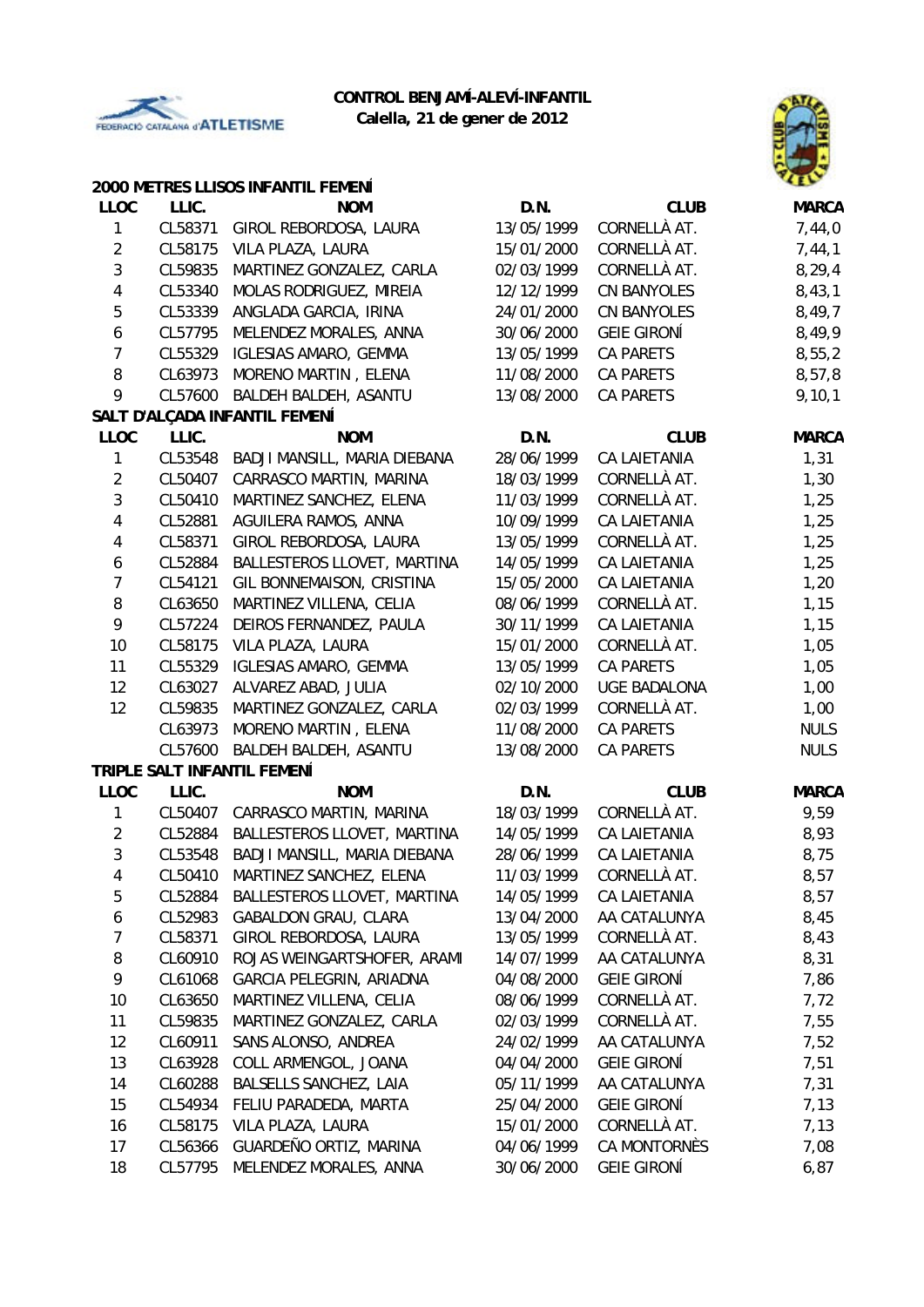

# **CONTROL BENJAMÍ-ALEVÍ-INFANTIL**





|                  |         | 2000 METRES LLISOS INFANTIL FEMENÍ |            |                     | чту          |
|------------------|---------|------------------------------------|------------|---------------------|--------------|
| <b>LLOC</b>      | LLIC.   | <b>NOM</b>                         | D.N.       | <b>CLUB</b>         | <b>MARCA</b> |
| 1                | CL58371 | GIROL REBORDOSA, LAURA             | 13/05/1999 | CORNELLÀ AT.        | 7,44,0       |
| $\overline{2}$   | CL58175 | VILA PLAZA, LAURA                  | 15/01/2000 | CORNELLÀ AT.        | 7,44,1       |
| $\mathbf{3}$     | CL59835 | MARTINEZ GONZALEZ, CARLA           | 02/03/1999 | CORNELLÀ AT.        | 8, 29, 4     |
| 4                | CL53340 | MOLAS RODRIGUEZ, MIREIA            | 12/12/1999 | <b>CN BANYOLES</b>  | 8,43,1       |
| 5                | CL53339 | ANGLADA GARCIA, IRINA              | 24/01/2000 | <b>CN BANYOLES</b>  | 8,49,7       |
| $\boldsymbol{6}$ | CL57795 | MELENDEZ MORALES, ANNA             | 30/06/2000 | <b>GEIE GIRONÍ</b>  | 8,49,9       |
| $\overline{7}$   | CL55329 | <b>IGLESIAS AMARO, GEMMA</b>       | 13/05/1999 | CA PARETS           | 8,55,2       |
| 8                | CL63973 | MORENO MARTIN, ELENA               | 11/08/2000 | CA PARETS           | 8,57,8       |
| 9                | CL57600 | BALDEH BALDEH, ASANTU              | 13/08/2000 | CA PARETS           | 9, 10, 1     |
|                  |         | SALT D'ALÇADA INFANTIL FEMENÍ      |            |                     |              |
| <b>LLOC</b>      | LLIC.   | <b>NOM</b>                         | D.N.       | <b>CLUB</b>         | <b>MARCA</b> |
| 1                | CL53548 | BADJI MANSILL, MARIA DIEBANA       | 28/06/1999 | <b>CA LAIETANIA</b> | 1,31         |
| $\overline{2}$   | CL50407 | CARRASCO MARTIN, MARINA            | 18/03/1999 | CORNELLÀ AT.        | 1,30         |
| 3                | CL50410 | MARTINEZ SANCHEZ, ELENA            | 11/03/1999 | CORNELLÀ AT.        | 1,25         |
| 4                | CL52881 | AGUILERA RAMOS, ANNA               | 10/09/1999 | <b>CA LAIETANIA</b> | 1,25         |
| 4                | CL58371 | GIROL REBORDOSA, LAURA             | 13/05/1999 | CORNELLÀ AT.        | 1,25         |
| 6                | CL52884 | BALLESTEROS LLOVET, MARTINA        | 14/05/1999 | CA LAIETANIA        | 1,25         |
| $\overline{7}$   | CL54121 | GIL BONNEMAISON, CRISTINA          | 15/05/2000 | <b>CA LAIETANIA</b> | 1,20         |
| 8                | CL63650 | MARTINEZ VILLENA, CELIA            | 08/06/1999 | CORNELLÀ AT.        | 1,15         |
| 9                | CL57224 | DEIROS FERNANDEZ, PAULA            | 30/11/1999 | <b>CA LAIETANIA</b> | 1,15         |
| 10               | CL58175 | VILA PLAZA, LAURA                  | 15/01/2000 | CORNELLÀ AT.        | 1,05         |
| 11               | CL55329 | <b>IGLESIAS AMARO, GEMMA</b>       | 13/05/1999 | <b>CA PARETS</b>    | 1,05         |
| 12               | CL63027 | ALVAREZ ABAD, JULIA                | 02/10/2000 | <b>UGE BADALONA</b> | 1,00         |
| 12               | CL59835 | MARTINEZ GONZALEZ, CARLA           | 02/03/1999 | CORNELLÀ AT.        | 1,00         |
|                  | CL63973 | MORENO MARTIN, ELENA               | 11/08/2000 | CA PARETS           | <b>NULS</b>  |
|                  | CL57600 | BALDEH BALDEH, ASANTU              | 13/08/2000 | <b>CA PARETS</b>    | <b>NULS</b>  |
|                  |         | TRIPLE SALT INFANTIL FEMENÍ        |            |                     |              |
| <b>LLOC</b>      | LLIC.   | <b>NOM</b>                         | D.N.       | <b>CLUB</b>         | <b>MARCA</b> |
| 1                | CL50407 | CARRASCO MARTIN, MARINA            | 18/03/1999 | CORNELLÀ AT.        | 9,59         |
| $\overline{2}$   | CL52884 | BALLESTEROS LLOVET, MARTINA        | 14/05/1999 | <b>CA LAIETANIA</b> | 8,93         |
| 3                | CL53548 | BADJI MANSILL, MARIA DIEBANA       | 28/06/1999 | <b>CA LAIETANIA</b> | 8,75         |
| 4                | CL50410 | MARTINEZ SANCHEZ, ELENA            | 11/03/1999 | CORNELLÀ AT.        | 8,57         |
| 5                | CL52884 | BALLESTEROS LLOVET, MARTINA        | 14/05/1999 | CA LAIETANIA        | 8,57         |
| 6                | CL52983 | <b>GABALDON GRAU, CLARA</b>        | 13/04/2000 | AA CATALUNYA        | 8,45         |
| 7                | CL58371 | GIROL REBORDOSA, LAURA             | 13/05/1999 | CORNELLÀ AT.        | 8,43         |
| 8                | CL60910 | ROJAS WEINGARTSHOFER, ARAMI        | 14/07/1999 | AA CATALUNYA        | 8,31         |
| 9                | CL61068 | GARCIA PELEGRIN, ARIADNA           | 04/08/2000 | <b>GEIE GIRONÍ</b>  | 7,86         |
| 10               | CL63650 | MARTINEZ VILLENA, CELIA            | 08/06/1999 | CORNELLÀ AT.        | 7,72         |
| 11               | CL59835 | MARTINEZ GONZALEZ, CARLA           | 02/03/1999 | CORNELLÀ AT.        | 7,55         |
| 12               | CL60911 | SANS ALONSO, ANDREA                | 24/02/1999 | AA CATALUNYA        | 7,52         |
| 13               | CL63928 | COLL ARMENGOL, JOANA               | 04/04/2000 | <b>GEIE GIRONÍ</b>  | 7,51         |
| 14               | CL60288 | BALSELLS SANCHEZ, LAIA             | 05/11/1999 | AA CATALUNYA        | 7,31         |
| 15               | CL54934 | FELIU PARADEDA, MARTA              | 25/04/2000 | <b>GEIE GIRONÍ</b>  | 7,13         |
| 16               | CL58175 | VILA PLAZA, LAURA                  | 15/01/2000 | CORNELLÀ AT.        | 7,13         |
| 17               | CL56366 | GUARDEÑO ORTIZ, MARINA             | 04/06/1999 | CA MONTORNÈS        | 7,08         |
| 18               | CL57795 | MELENDEZ MORALES, ANNA             | 30/06/2000 | <b>GEIE GIRONÍ</b>  | 6,87         |
|                  |         |                                    |            |                     |              |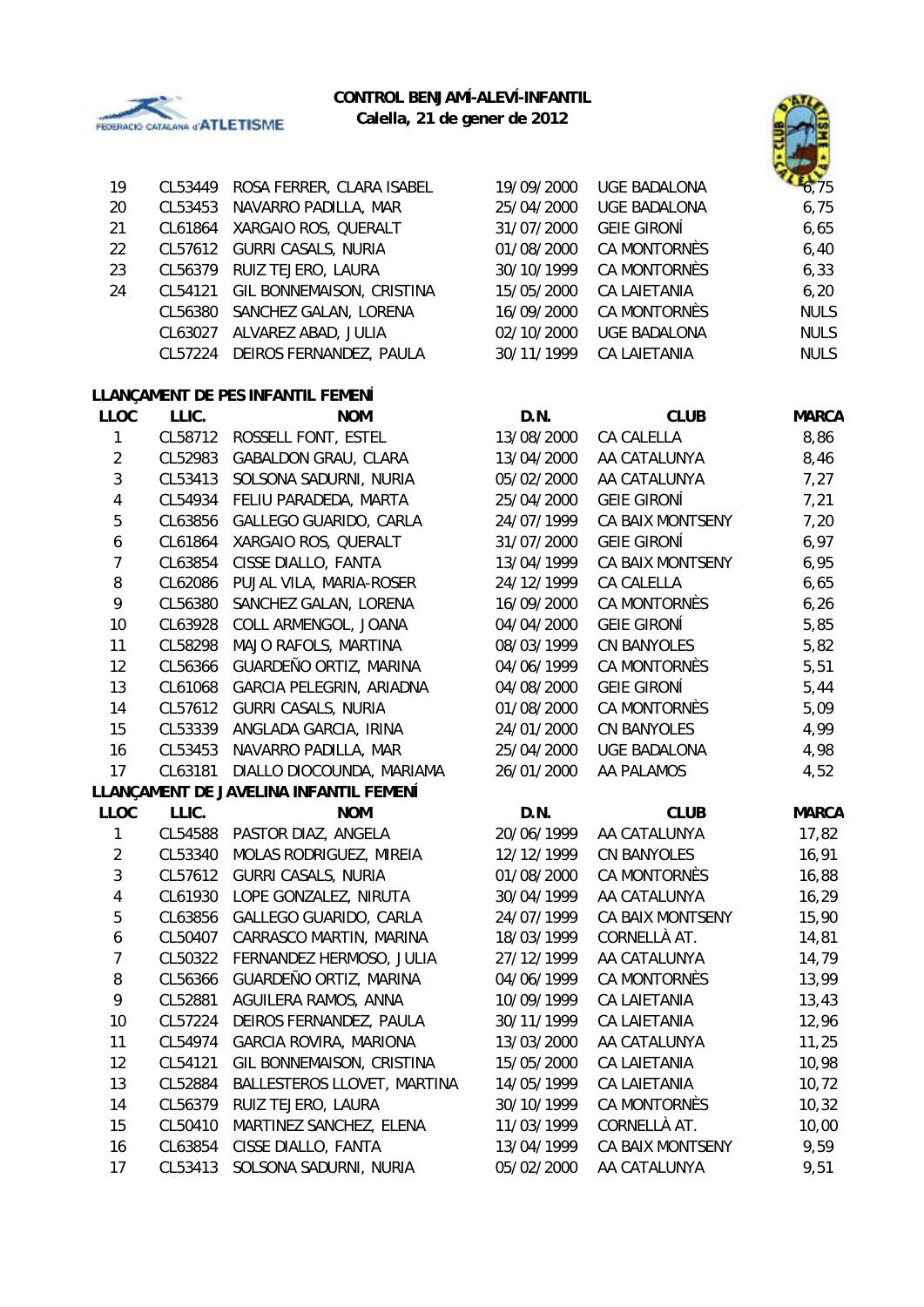

# **CONTROL BENJAMÍ-ALEVÍ-INFANTIL**

**Calella, 21 de gener de 2012**



| 19    | CL53449 | ROSA FERRER, CLARA ISABEL         | 19/09/2000 | <b>UGE BADALONA</b> | 6.75        |
|-------|---------|-----------------------------------|------------|---------------------|-------------|
| 20    | CL53453 | NAVARRO PADILLA, MAR              | 25/04/2000 | <b>UGE BADALONA</b> | 6,75        |
| 21    | CL61864 | XARGAIO ROS, QUERALT              | 31/07/2000 | <b>GEIE GIRONÍ</b>  | 6,65        |
| 22    | CL57612 | <b>GURRI CASALS, NURIA</b>        | 01/08/2000 | CA MONTORNÈS        | 6,40        |
| 23    | CL56379 | RUIZ TEJERO, LAURA                | 30/10/1999 | CA MONTORNÈS        | 6,33        |
| 24    | CL54121 | GIL BONNEMAISON, CRISTINA         | 15/05/2000 | <b>CA LAIETANIA</b> | 6, 20       |
|       | CL56380 | SANCHEZ GALAN, LORENA             | 16/09/2000 | CA MONTORNÈS        | <b>NULS</b> |
|       | CL63027 | ALVAREZ ABAD, JULIA               | 02/10/2000 | <b>UGE BADALONA</b> | <b>NULS</b> |
|       | CL57224 | DEIROS FERNANDEZ, PAULA           | 30/11/1999 | CA LAIETANIA        | <b>NULS</b> |
|       |         | LLANÇAMENT DE PES INFANTIL FEMENÍ |            |                     |             |
| LLOC. | LLIC.   | <b>NOM</b>                        | D.N.       | <b>CLUB</b>         | MARCA       |
|       |         |                                   |            |                     |             |

| LLUU                    | LLIU.   | <b>INUM</b>                            | D.N.       | <b>CLUB</b>             | <b>IVIARCA</b> |
|-------------------------|---------|----------------------------------------|------------|-------------------------|----------------|
| 1                       | CL58712 | ROSSELL FONT, ESTEL                    | 13/08/2000 | CA CALELLA              | 8,86           |
| $\overline{2}$          | CL52983 | <b>GABALDON GRAU, CLARA</b>            | 13/04/2000 | AA CATALUNYA            | 8,46           |
| $\mathfrak{Z}$          | CL53413 | SOLSONA SADURNI, NURIA                 | 05/02/2000 | AA CATALUNYA            | 7,27           |
| $\overline{4}$          | CL54934 | FELIU PARADEDA, MARTA                  | 25/04/2000 | <b>GEIE GIRONÍ</b>      | 7,21           |
| $\overline{5}$          | CL63856 | GALLEGO GUARIDO, CARLA                 | 24/07/1999 | CA BAIX MONTSENY        | 7,20           |
| $\boldsymbol{6}$        | CL61864 | XARGAIO ROS, QUERALT                   | 31/07/2000 | <b>GEIE GIRONÍ</b>      | 6,97           |
| $\overline{7}$          | CL63854 | CISSE DIALLO, FANTA                    | 13/04/1999 | <b>CA BAIX MONTSENY</b> | 6,95           |
| 8                       | CL62086 | PUJAL VILA, MARIA-ROSER                | 24/12/1999 | CA CALELLA              | 6,65           |
| 9                       | CL56380 | SANCHEZ GALAN, LORENA                  | 16/09/2000 | <b>CA MONTORNÈS</b>     | 6, 26          |
| 10                      | CL63928 | COLL ARMENGOL, JOANA                   | 04/04/2000 | <b>GEIE GIRONÍ</b>      | 5,85           |
| 11                      | CL58298 | MAJO RAFOLS, MARTINA                   | 08/03/1999 | <b>CN BANYOLES</b>      | 5,82           |
| 12                      | CL56366 | GUARDEÑO ORTIZ, MARINA                 | 04/06/1999 | CA MONTORNÈS            | 5,51           |
| 13                      | CL61068 | GARCIA PELEGRIN, ARIADNA               | 04/08/2000 | <b>GEIE GIRONÍ</b>      | 5,44           |
| 14                      | CL57612 | <b>GURRI CASALS, NURIA</b>             | 01/08/2000 | <b>CA MONTORNÈS</b>     | 5,09           |
| 15                      | CL53339 | ANGLADA GARCIA, IRINA                  | 24/01/2000 | <b>CN BANYOLES</b>      | 4,99           |
| 16                      | CL53453 | NAVARRO PADILLA, MAR                   | 25/04/2000 | <b>UGE BADALONA</b>     | 4,98           |
| 17                      | CL63181 | DIALLO DIOCOUNDA, MARIAMA              | 26/01/2000 | AA PALAMOS              | 4,52           |
|                         |         | LLANÇAMENT DE JAVELINA INFANTIL FEMENÍ |            |                         |                |
| <b>LLOC</b>             | LLIC.   | <b>NOM</b>                             | D.N.       | <b>CLUB</b>             | <b>MARCA</b>   |
| $\mathbf{1}$            | CL54588 | PASTOR DIAZ, ANGELA                    | 20/06/1999 | AA CATALUNYA            | 17,82          |
| $\overline{2}$          | CL53340 | MOLAS RODRIGUEZ, MIREIA                | 12/12/1999 | <b>CN BANYOLES</b>      | 16,91          |
| $\mathfrak{Z}$          | CL57612 | <b>GURRI CASALS, NURIA</b>             | 01/08/2000 | <b>CA MONTORNÈS</b>     | 16,88          |
| $\overline{\mathbf{4}}$ | CL61930 | LOPE GONZALEZ, NIRUTA                  | 30/04/1999 | AA CATALUNYA            | 16, 29         |
| 5                       | CL63856 | GALLEGO GUARIDO, CARLA                 | 24/07/1999 | CA BAIX MONTSENY        | 15,90          |
| $\boldsymbol{6}$        | CL50407 | CARRASCO MARTIN, MARINA                | 18/03/1999 | CORNELLÀ AT.            | 14,81          |
| $\overline{7}$          | CL50322 | FERNANDEZ HERMOSO, JULIA               | 27/12/1999 | AA CATALUNYA            | 14,79          |
| 8                       | CL56366 | GUARDEÑO ORTIZ, MARINA                 | 04/06/1999 | CA MONTORNÈS            | 13,99          |
| 9                       | CL52881 | AGUILERA RAMOS, ANNA                   | 10/09/1999 | <b>CA LAIETANIA</b>     | 13,43          |
| 10                      | CL57224 | DEIROS FERNANDEZ, PAULA                | 30/11/1999 | CA LAIETANIA            | 12,96          |
| 11                      | CL54974 | GARCIA ROVIRA, MARIONA                 | 13/03/2000 | AA CATALUNYA            | 11,25          |
| 12                      | CL54121 | GIL BONNEMAISON, CRISTINA              | 15/05/2000 | CA LAIETANIA            | 10,98          |
| 13                      | CL52884 | BALLESTEROS LLOVET, MARTINA            | 14/05/1999 | <b>CA LAIETANIA</b>     | 10, 72         |
| 14                      | CL56379 | RUIZ TEJERO, LAURA                     | 30/10/1999 | CA MONTORNÈS            | 10,32          |
| 15                      | CL50410 | MARTINEZ SANCHEZ, ELENA                | 11/03/1999 | CORNELLÀ AT.            | 10,00          |
| 16                      | CL63854 | CISSE DIALLO, FANTA                    | 13/04/1999 | CA BAIX MONTSENY        | 9,59           |
| 17                      | CL53413 | SOLSONA SADURNI, NURIA                 | 05/02/2000 | AA CATALUNYA            | 9,51           |
|                         |         |                                        |            |                         |                |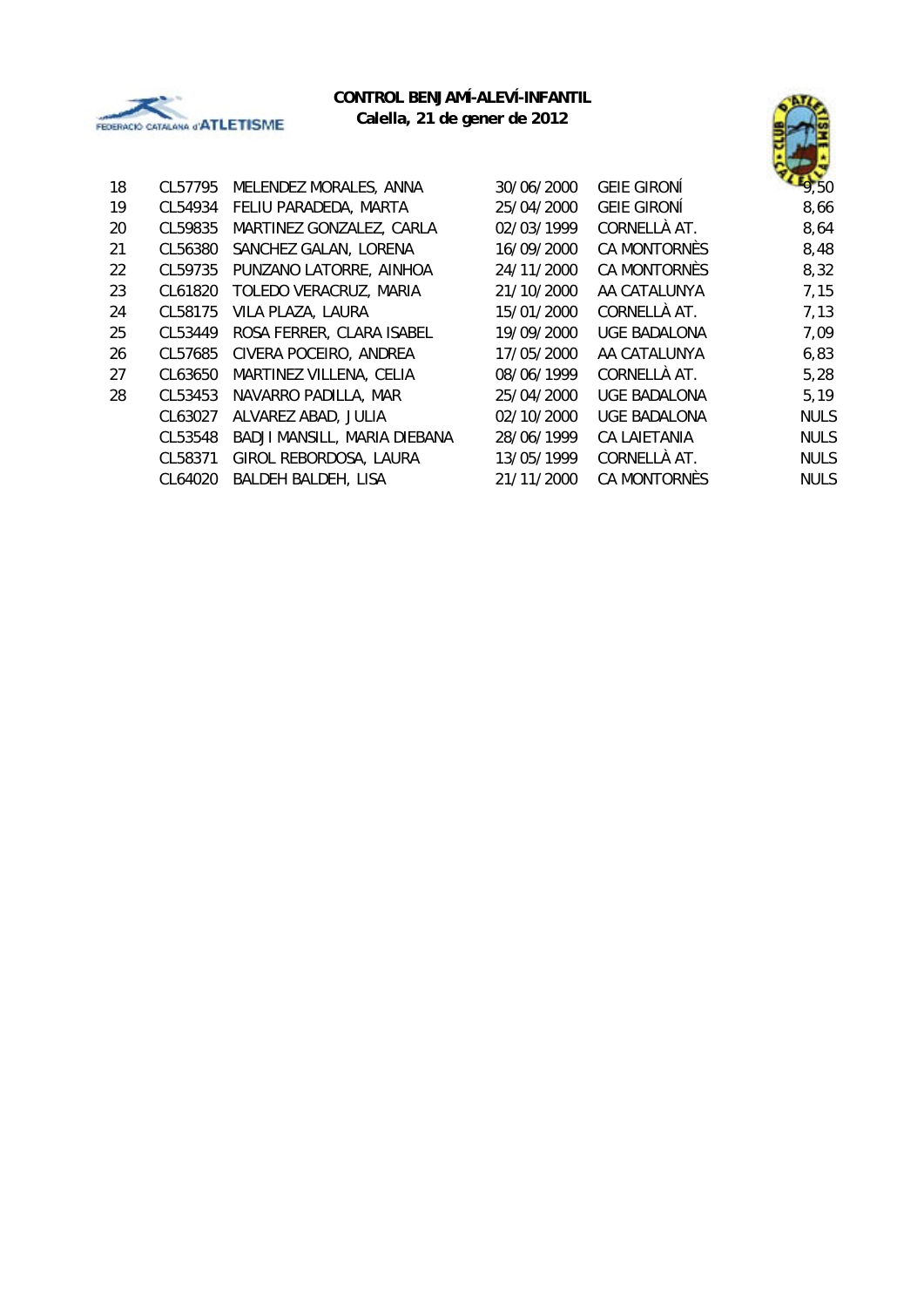



| 18 | CL57795 | MELENDEZ MORALES, ANNA       | 30/06/2000 | <b>GEIE GIRONÍ</b>  | $E_{9,50}$  |
|----|---------|------------------------------|------------|---------------------|-------------|
| 19 | CL54934 | FELIU PARADEDA, MARTA        | 25/04/2000 | <b>GEIE GIRONÍ</b>  | 8,66        |
| 20 | CL59835 | MARTINEZ GONZALEZ, CARLA     | 02/03/1999 | CORNELLÀ AT.        | 8,64        |
| 21 | CL56380 | SANCHEZ GALAN, LORENA        | 16/09/2000 | <b>CA MONTORNÈS</b> | 8,48        |
| 22 | CL59735 | PUNZANO LATORRE, AINHOA      | 24/11/2000 | CA MONTORNÈS        | 8,32        |
| 23 | CL61820 | TOLEDO VERACRUZ, MARIA       | 21/10/2000 | AA CATALUNYA        | 7,15        |
| 24 | CL58175 | VILA PLAZA, LAURA            | 15/01/2000 | CORNELLÀ AT.        | 7,13        |
| 25 | CL53449 | ROSA FERRER, CLARA ISABEL    | 19/09/2000 | <b>UGE BADALONA</b> | 7,09        |
| 26 | CL57685 | CIVERA POCEIRO, ANDREA       | 17/05/2000 | AA CATALUNYA        | 6,83        |
| 27 | CL63650 | MARTINEZ VILLENA, CELIA      | 08/06/1999 | CORNELLÀ AT.        | 5,28        |
| 28 | CL53453 | NAVARRO PADILLA, MAR         | 25/04/2000 | <b>UGE BADALONA</b> | 5,19        |
|    | CL63027 | ALVAREZ ABAD, JULIA          | 02/10/2000 | <b>UGE BADALONA</b> | <b>NULS</b> |
|    | CL53548 | BADJI MANSILL, MARIA DIEBANA | 28/06/1999 | <b>CA LAIETANIA</b> | <b>NULS</b> |
|    | CL58371 | GIROL REBORDOSA, LAURA       | 13/05/1999 | CORNELLÀ AT.        | <b>NULS</b> |
|    | CL64020 | BALDEH BALDEH, LISA          | 21/11/2000 | CA MONTORNÈS        | <b>NULS</b> |
|    |         |                              |            |                     |             |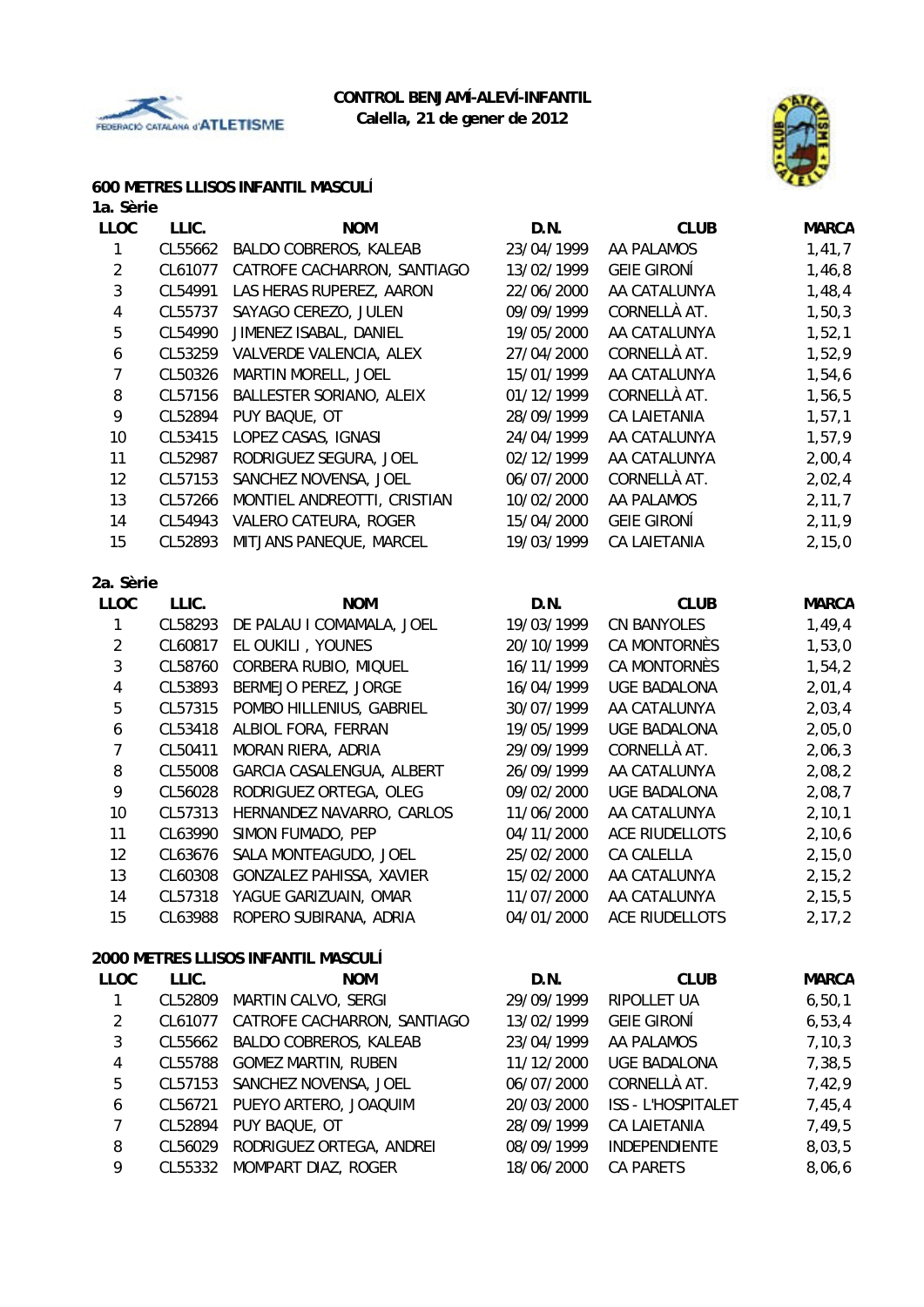



#### **600 METRES LLISOS INFANTIL MASCULÍ**

| 1a. Sèrie       |         |                              |            |                     |              |
|-----------------|---------|------------------------------|------------|---------------------|--------------|
| <b>LLOC</b>     | LLIC.   | <b>NOM</b>                   | D.N.       | <b>CLUB</b>         | <b>MARCA</b> |
| 1               | CL55662 | BALDO COBREROS, KALEAB       | 23/04/1999 | AA PALAMOS          | 1,41,7       |
| $\overline{2}$  | CL61077 | CATROFE CACHARRON, SANTIAGO  | 13/02/1999 | <b>GEIE GIRONI</b>  | 1,46,8       |
| $\overline{3}$  | CL54991 | LAS HERAS RUPEREZ, AARON     | 22/06/2000 | AA CATALUNYA        | 1,48,4       |
| $\overline{4}$  | CL55737 | SAYAGO CEREZO, JULEN         | 09/09/1999 | CORNELLÀ AT.        | 1, 50, 3     |
| 5               | CL54990 | JIMENEZ ISABAL, DANIEL       | 19/05/2000 | AA CATALUNYA        | 1,52,1       |
| 6               | CL53259 | VALVERDE VALENCIA, ALEX      | 27/04/2000 | CORNELLÀ AT.        | 1,52,9       |
| 7               | CL50326 | MARTIN MORELL, JOEL          | 15/01/1999 | AA CATALUNYA        | 1,54,6       |
| 8               | CL57156 | BALLESTER SORIANO, ALEIX     | 01/12/1999 | CORNELLÀ AT.        | 1,56,5       |
| 9               | CL52894 | PUY BAQUE, OT                | 28/09/1999 | CA LAIETANIA        | 1, 57, 1     |
| 10 <sup>1</sup> | CL53415 | LOPEZ CASAS, IGNASI          | 24/04/1999 | AA CATALUNYA        | 1,57,9       |
| 11              | CL52987 | RODRIGUEZ SEGURA, JOEL       | 02/12/1999 | AA CATALUNYA        | 2,00,4       |
| 12              | CL57153 | SANCHEZ NOVENSA, JOEL        | 06/07/2000 | CORNELLÀ AT.        | 2,02,4       |
| 13              | CL57266 | MONTIEL ANDREOTTI, CRISTIAN  | 10/02/2000 | AA PALAMOS          | 2, 11, 7     |
| 14              | CL54943 | <b>VALERO CATEURA, ROGER</b> | 15/04/2000 | <b>GEIE GIRONÍ</b>  | 2,11,9       |
| 15              | CL52893 | MITJANS PANEQUE, MARCEL      | 19/03/1999 | <b>CA LAIETANIA</b> | 2,15,0       |
| 2a. Sèrie       |         |                              |            |                     |              |
| <b>LLOC</b>     | LLIC.   | <b>NOM</b>                   | D.N.       | <b>CLUB</b>         | <b>MARCA</b> |

| LLUU | LLIU.   | <b>INUM</b>               | D.N.       | <b>ULUB</b>         | <b>IVIAKU/</b> |
|------|---------|---------------------------|------------|---------------------|----------------|
|      | CL58293 | DE PALAU I COMAMALA, JOEL | 19/03/1999 | <b>CN BANYOLES</b>  | 1,49,4         |
| 2    | CL60817 | EL OUKILI, YOUNES         | 20/10/1999 | CA MONTORNÈS        | 1,53,0         |
| 3    | CL58760 | CORBERA RUBIO, MIQUEL     | 16/11/1999 | <b>CA MONTORNÈS</b> | 1,54,2         |
| 4    | CL53893 | BERMEJO PEREZ, JORGE      | 16/04/1999 | <b>UGE BADALONA</b> | 2,01,4         |
| 5    | CL57315 | POMBO HILLENIUS, GABRIEL  | 30/07/1999 | AA CATALUNYA        | 2,03,4         |
| 6    | CL53418 | ALBIOL FORA, FERRAN       | 19/05/1999 | <b>UGE BADALONA</b> | 2,05,0         |
|      | CL50411 | MORAN RIERA, ADRIA        | 29/09/1999 | CORNELLÀ AT.        | 2,06,3         |
| 8    | CL55008 | GARCIA CASALENGUA, ALBERT | 26/09/1999 | AA CATALUNYA        | 2,08,2         |
| 9    | CL56028 | RODRIGUEZ ORTEGA, OLEG    | 09/02/2000 | <b>UGE BADALONA</b> | 2,08,7         |
| 10   | CL57313 | HERNANDEZ NAVARRO, CARLOS | 11/06/2000 | AA CATALUNYA        | 2, 10, 1       |
| 11   | CL63990 | SIMON FUMADO, PEP         | 04/11/2000 | ACE RIUDELLOTS      | 2,10,6         |
| 12   | CL63676 | SALA MONTEAGUDO, JOEL     | 25/02/2000 | CA CALELLA          | 2,15,0         |
| 13   | CL60308 | GONZALEZ PAHISSA, XAVIER  | 15/02/2000 | AA CATALUNYA        | 2, 15, 2       |
| 14   | CL57318 | YAGUE GARIZUAIN, OMAR     | 11/07/2000 | AA CATALUNYA        | 2, 15, 5       |
| 15   | CL63988 | ROPERO SUBIRANA, ADRIA    | 04/01/2000 | ACE RIUDELLOTS      | 2, 17, 2       |
|      |         |                           |            |                     |                |

#### **2000 METRES LLISOS INFANTIL MASCULÍ**

| <b>LLOC</b>   | LLIC.   | <b>NOM</b>                     | D.N.       | <b>CLUB</b>               | <b>MARCA</b> |
|---------------|---------|--------------------------------|------------|---------------------------|--------------|
|               | CL52809 | MARTIN CALVO, SERGI            | 29/09/1999 | <b>RIPOLLET UA</b>        | 6, 50, 1     |
| $\mathcal{P}$ | CL61077 | CATROFE CACHARRON, SANTIAGO    | 13/02/1999 | <b>GEIE GIRONÍ</b>        | 6, 53, 4     |
| 3             |         | CL55662 BALDO COBREROS, KALEAB | 23/04/1999 | AA PALAMOS                | 7, 10, 3     |
| 4             | CL55788 | <b>GOMEZ MARTIN, RUBEN</b>     | 11/12/2000 | <b>UGE BADALONA</b>       | 7,38,5       |
| 5             |         | CL57153 SANCHEZ NOVENSA, JOEL  | 06/07/2000 | CORNELLÀ AT.              | 7,42,9       |
| 6             | CL56721 | PUEYO ARTERO, JOAQUIM          | 20/03/2000 | <b>ISS - L'HOSPITALET</b> | 7,45,4       |
|               | CL52894 | PUY BAQUE, OT                  | 28/09/1999 | <b>CA LAIETANIA</b>       | 7,49,5       |
| 8             | CL56029 | RODRIGUEZ ORTEGA, ANDREI       | 08/09/1999 | <b>INDEPENDIENTE</b>      | 8,03,5       |
| 9             | CL55332 | MOMPART DIAZ, ROGER            | 18/06/2000 | <b>CA PARETS</b>          | 8,06,6       |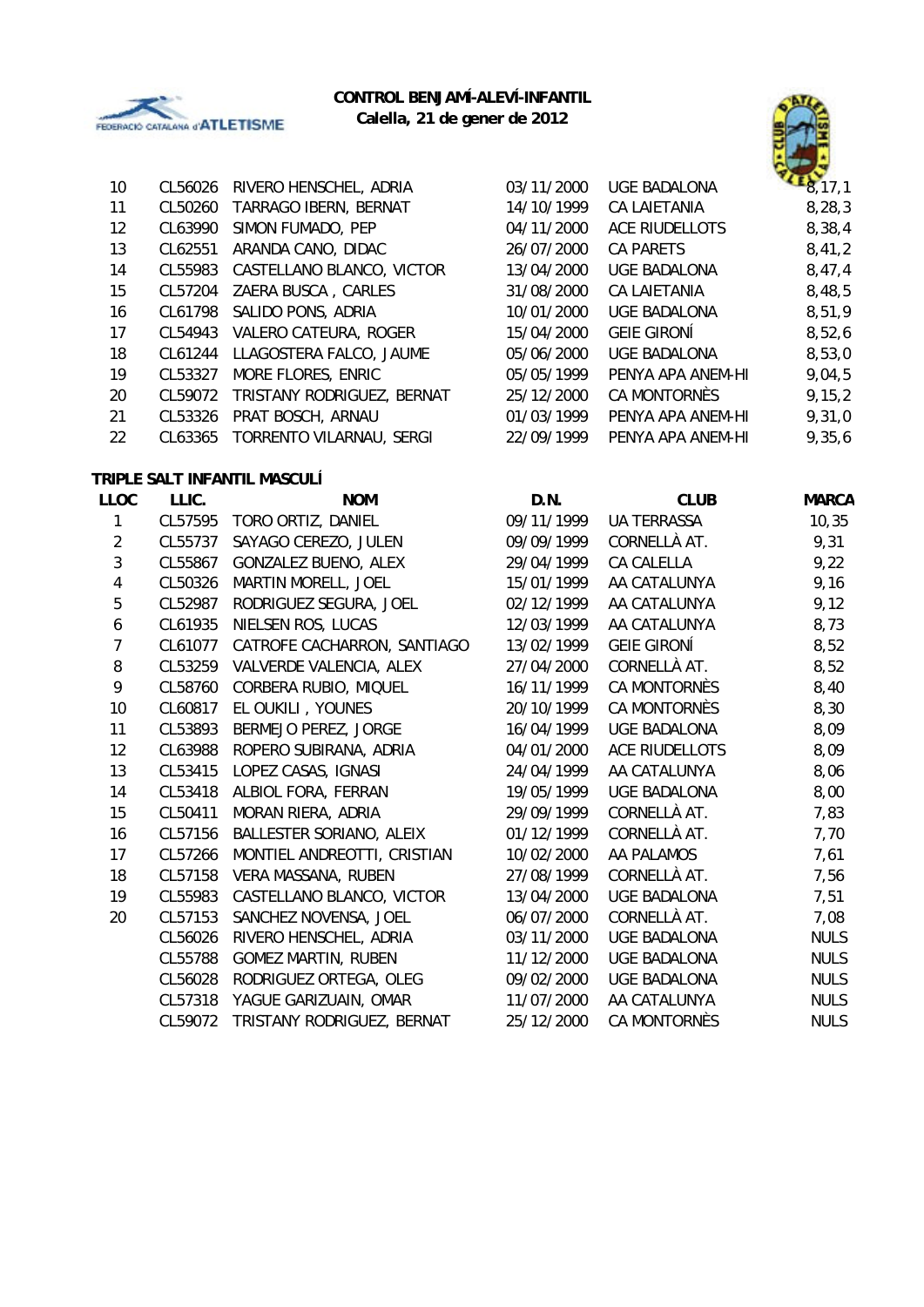

# **CONTROL BENJAMÍ-ALEVÍ-INFANTIL**





| 10               | CL56026 | RIVERO HENSCHEL, ADRIA       | 03/11/2000 | <b>UGE BADALONA</b>   | 8,17,1       |
|------------------|---------|------------------------------|------------|-----------------------|--------------|
| 11               | CL50260 | TARRAGO IBERN, BERNAT        | 14/10/1999 | <b>CA LAIETANIA</b>   | 8, 28, 3     |
| 12               | CL63990 | SIMON FUMADO, PEP            | 04/11/2000 | <b>ACE RIUDELLOTS</b> | 8,38,4       |
| 13               | CL62551 | ARANDA CANO, DIDAC           | 26/07/2000 | CA PARETS             | 8,41,2       |
| 14               | CL55983 | CASTELLANO BLANCO, VICTOR    | 13/04/2000 | UGE BADALONA          | 8,47,4       |
| 15               | CL57204 | ZAERA BUSCA, CARLES          | 31/08/2000 | CA LAIETANIA          | 8,48,5       |
| 16               | CL61798 | SALIDO PONS, ADRIA           | 10/01/2000 | <b>UGE BADALONA</b>   | 8,51,9       |
| 17               | CL54943 | VALERO CATEURA, ROGER        | 15/04/2000 | <b>GEIE GIRONÍ</b>    | 8,52,6       |
| 18               | CL61244 | LLAGOSTERA FALCO, JAUME      | 05/06/2000 | <b>UGE BADALONA</b>   | 8,53,0       |
| 19               | CL53327 | MORE FLORES, ENRIC           | 05/05/1999 | PENYA APA ANEM-HI     | 9,04,5       |
| 20               | CL59072 | TRISTANY RODRIGUEZ, BERNAT   | 25/12/2000 | CA MONTORNÈS          | 9, 15, 2     |
| 21               | CL53326 | PRAT BOSCH, ARNAU            | 01/03/1999 | PENYA APA ANEM-HI     | 9,31,0       |
| 22               | CL63365 | TORRENTO VILARNAU, SERGI     | 22/09/1999 | PENYA APA ANEM-HI     | 9,35,6       |
|                  |         | TRIPLE SALT INFANTIL MASCULÍ |            |                       |              |
| <b>LLOC</b>      | LLIC.   | <b>NOM</b>                   | D.N.       | <b>CLUB</b>           | <b>MARCA</b> |
| $\mathbf{1}$     |         | CL57595 TORO ORTIZ, DANIEL   | 09/11/1999 | <b>UA TERRASSA</b>    | 10,35        |
| $\overline{2}$   | CL55737 | SAYAGO CEREZO, JULEN         | 09/09/1999 | CORNELLÀ AT.          | 9,31         |
| 3                | CL55867 | GONZALEZ BUENO, ALEX         | 29/04/1999 | <b>CA CALELLA</b>     | 9,22         |
| $\pmb{4}$        | CL50326 | MARTIN MORELL, JOEL          | 15/01/1999 | AA CATALUNYA          | 9,16         |
| $\sqrt{5}$       | CL52987 | RODRIGUEZ SEGURA, JOEL       | 02/12/1999 | AA CATALUNYA          | 9,12         |
| $\boldsymbol{6}$ | CL61935 | NIELSEN ROS, LUCAS           | 12/03/1999 | AA CATALUNYA          | 8,73         |
| $\overline{7}$   | CL61077 | CATROFE CACHARRON, SANTIAGO  | 13/02/1999 | <b>GEIE GIRONÍ</b>    | 8,52         |
| $\, 8$           | CL53259 | VALVERDE VALENCIA, ALEX      | 27/04/2000 | CORNELLÀ AT.          | 8,52         |
| 9                | CL58760 | CORBERA RUBIO, MIQUEL        | 16/11/1999 | CA MONTORNÈS          | 8,40         |
| 10               | CL60817 | EL OUKILI, YOUNES            | 20/10/1999 | CA MONTORNÈS          | 8,30         |
| 11               | CL53893 | BERMEJO PEREZ, JORGE         | 16/04/1999 | <b>UGE BADALONA</b>   | 8,09         |
| 12               | CL63988 | ROPERO SUBIRANA, ADRIA       | 04/01/2000 | ACE RIUDELLOTS        | 8,09         |
| 13               | CL53415 | LOPEZ CASAS, IGNASI          | 24/04/1999 | AA CATALUNYA          | 8,06         |
| 14               | CL53418 | ALBIOL FORA, FERRAN          | 19/05/1999 | <b>UGE BADALONA</b>   | 8,00         |
| 15               | CL50411 | MORAN RIERA, ADRIA           | 29/09/1999 | CORNELLÀ AT.          | 7,83         |
| 16               | CL57156 | BALLESTER SORIANO, ALEIX     | 01/12/1999 | CORNELLÀ AT.          | 7,70         |
| 17               | CL57266 | MONTIEL ANDREOTTI, CRISTIAN  | 10/02/2000 | AA PALAMOS            | 7,61         |
| 18               |         | CL57158 VERA MASSANA, RUBEN  | 27/08/1999 | CORNELLÀ AT.          | 7,56         |
| 19               | CL55983 | CASTELLANO BLANCO, VICTOR    | 13/04/2000 | <b>UGE BADALONA</b>   | 7,51         |
| 20               | CL57153 | SANCHEZ NOVENSA, JOEL        | 06/07/2000 | CORNELLÀ AT.          | 7,08         |
|                  | CL56026 | RIVERO HENSCHEL, ADRIA       | 03/11/2000 | <b>UGE BADALONA</b>   | <b>NULS</b>  |
|                  | CL55788 | <b>GOMEZ MARTIN, RUBEN</b>   | 11/12/2000 | <b>UGE BADALONA</b>   | <b>NULS</b>  |
|                  | CL56028 | RODRIGUEZ ORTEGA, OLEG       | 09/02/2000 | <b>UGE BADALONA</b>   | <b>NULS</b>  |
|                  | CL57318 | YAGUE GARIZUAIN, OMAR        | 11/07/2000 | AA CATALUNYA          | <b>NULS</b>  |
|                  | CL59072 | TRISTANY RODRIGUEZ, BERNAT   | 25/12/2000 | CA MONTORNÈS          | <b>NULS</b>  |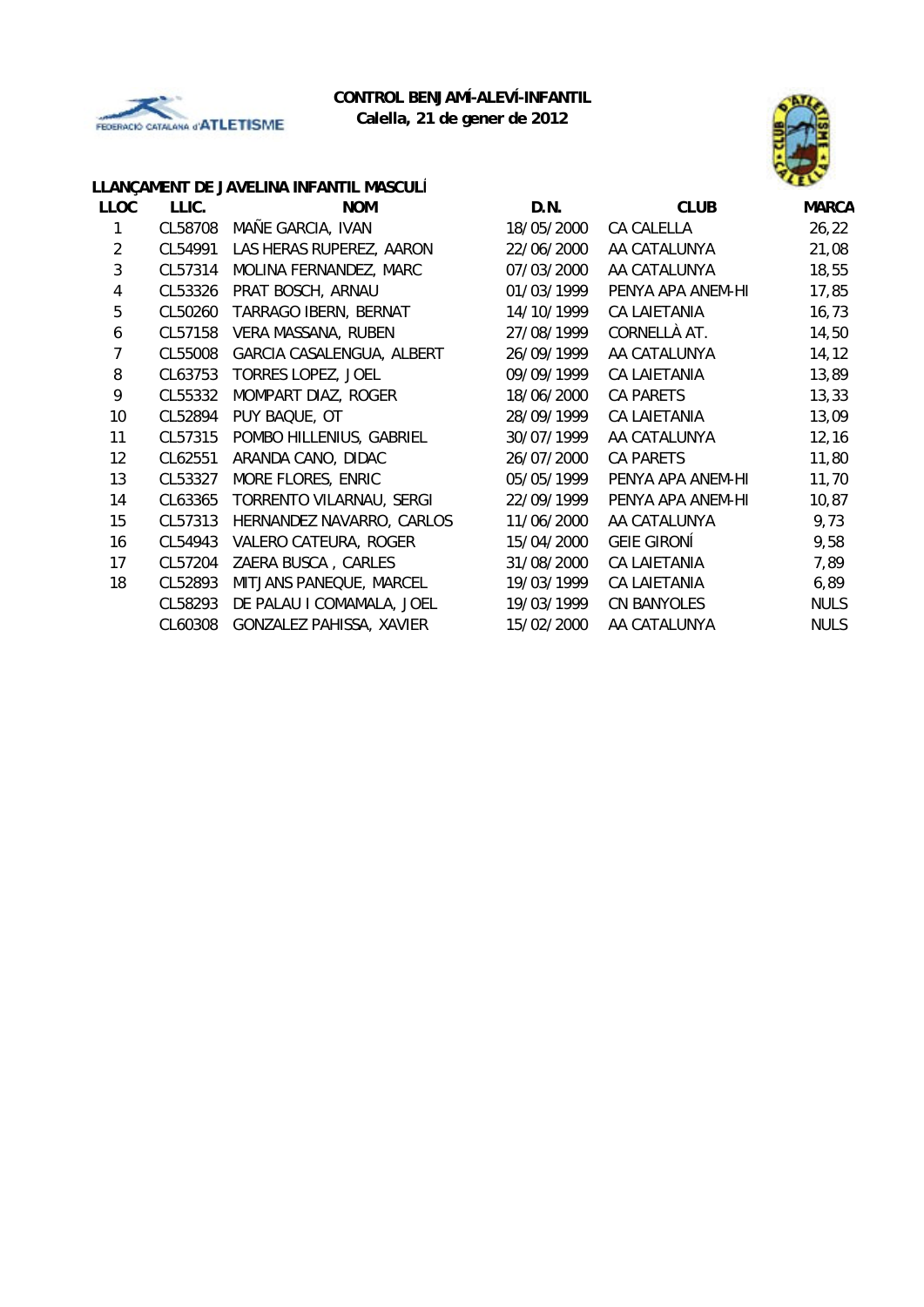



# **LLANÇAMENT DE JAVELINA INFANTIL MASCULÍ**

| <b>LLOC</b> | LLIC.   | <b>NOM</b>                | D.N.       | <b>CLUB</b>         | <b>MARCA</b> |
|-------------|---------|---------------------------|------------|---------------------|--------------|
|             | CL58708 | MAÑE GARCIA, IVAN         | 18/05/2000 | CA CALELLA          | 26, 22       |
| 2           | CL54991 | LAS HERAS RUPEREZ, AARON  | 22/06/2000 | AA CATALUNYA        | 21,08        |
| 3           | CL57314 | MOLINA FERNANDEZ, MARC    | 07/03/2000 | AA CATALUNYA        | 18,55        |
| 4           | CL53326 | PRAT BOSCH, ARNAU         | 01/03/1999 | PENYA APA ANEM-HI   | 17,85        |
| 5           | CL50260 | TARRAGO IBERN, BERNAT     | 14/10/1999 | <b>CA LAIETANIA</b> | 16, 73       |
| 6           | CL57158 | VERA MASSANA, RUBEN       | 27/08/1999 | CORNELLÀ AT.        | 14,50        |
| 7           | CL55008 | GARCIA CASALENGUA, ALBERT | 26/09/1999 | AA CATALUNYA        | 14, 12       |
| 8           | CL63753 | TORRES LOPEZ, JOEL        | 09/09/1999 | <b>CA LAIETANIA</b> | 13,89        |
| 9           | CL55332 | MOMPART DIAZ, ROGER       | 18/06/2000 | <b>CA PARETS</b>    | 13,33        |
| 10          | CL52894 | PUY BAQUE, OT             | 28/09/1999 | CA LAIETANIA        | 13,09        |
| 11          | CL57315 | POMBO HILLENIUS, GABRIEL  | 30/07/1999 | AA CATALUNYA        | 12, 16       |
| 12          | CL62551 | ARANDA CANO, DIDAC        | 26/07/2000 | <b>CA PARETS</b>    | 11,80        |
| 13          | CL53327 | MORE FLORES, ENRIC        | 05/05/1999 | PENYA APA ANEM-HI   | 11,70        |
| 14          | CL63365 | TORRENTO VILARNAU, SERGI  | 22/09/1999 | PENYA APA ANEM-HI   | 10,87        |
| 15          | CL57313 | HERNANDEZ NAVARRO, CARLOS | 11/06/2000 | AA CATALUNYA        | 9,73         |
| 16          | CL54943 | VALERO CATEURA, ROGER     | 15/04/2000 | <b>GEIE GIRONÍ</b>  | 9,58         |
| 17          | CL57204 | ZAERA BUSCA, CARLES       | 31/08/2000 | <b>CA LAIETANIA</b> | 7,89         |
| 18          | CL52893 | MITJANS PANEQUE, MARCEL   | 19/03/1999 | <b>CA LAIETANIA</b> | 6,89         |
|             | CL58293 | DE PALAU I COMAMALA, JOEL | 19/03/1999 | <b>CN BANYOLES</b>  | <b>NULS</b>  |
|             | CL60308 | GONZALEZ PAHISSA, XAVIER  | 15/02/2000 | AA CATALUNYA        | <b>NULS</b>  |
|             |         |                           |            |                     |              |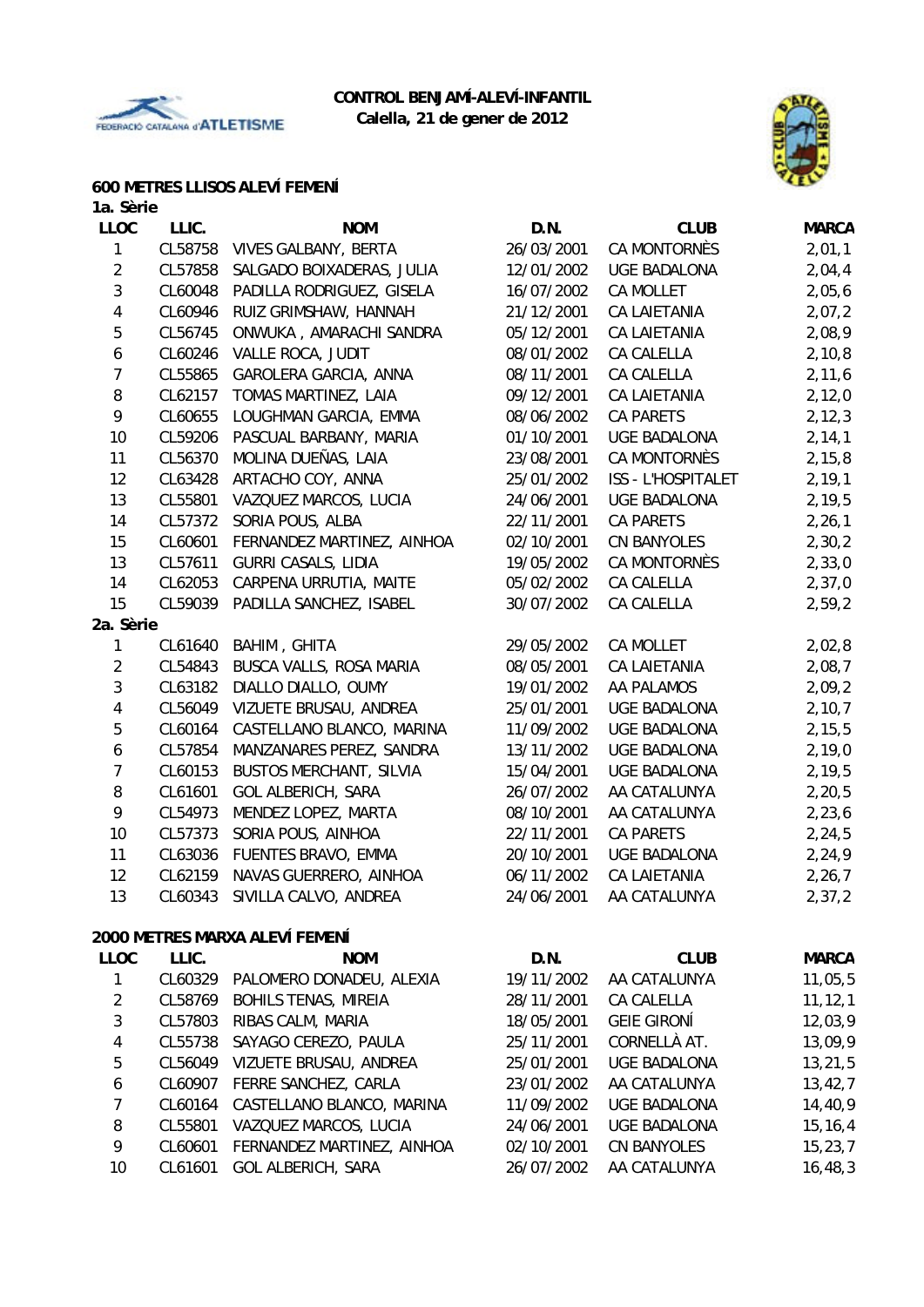



#### **600 METRES LLISOS ALEVÍ FEMENÍ**

| 1a. Sèrie               |         |                                |            |                     |              |
|-------------------------|---------|--------------------------------|------------|---------------------|--------------|
| <b>LLOC</b>             | LLIC.   | <b>NOM</b>                     | D.N.       | <b>CLUB</b>         | <b>MARCA</b> |
| 1                       | CL58758 | <b>VIVES GALBANY, BERTA</b>    | 26/03/2001 | CA MONTORNÈS        | 2,01,1       |
| $\overline{a}$          | CL57858 | SALGADO BOIXADERAS, JULIA      | 12/01/2002 | <b>UGE BADALONA</b> | 2,04,4       |
| 3                       | CL60048 | PADILLA RODRIGUEZ, GISELA      | 16/07/2002 | CA MOLLET           | 2,05,6       |
| 4                       | CL60946 | RUIZ GRIMSHAW, HANNAH          | 21/12/2001 | <b>CA LAIETANIA</b> | 2,07,2       |
| 5                       | CL56745 | ONWUKA, AMARACHI SANDRA        | 05/12/2001 | <b>CA LAIETANIA</b> | 2,08,9       |
| 6                       | CL60246 | VALLE ROCA, JUDIT              | 08/01/2002 | CA CALELLA          | 2,10,8       |
| $\overline{7}$          | CL55865 | GAROLERA GARCIA, ANNA          | 08/11/2001 | CA CALELLA          | 2,11,6       |
| 8                       | CL62157 | TOMAS MARTINEZ, LAIA           | 09/12/2001 | CA LAIETANIA        | 2,12,0       |
| 9                       | CL60655 | LOUGHMAN GARCIA, EMMA          | 08/06/2002 | CA PARETS           | 2, 12, 3     |
| 10                      | CL59206 | PASCUAL BARBANY, MARIA         | 01/10/2001 | <b>UGE BADALONA</b> | 2, 14, 1     |
| 11                      | CL56370 | MOLINA DUEÑAS, LAIA            | 23/08/2001 | CA MONTORNÈS        | 2, 15, 8     |
| 12                      | CL63428 | ARTACHO COY, ANNA              | 25/01/2002 | ISS - L'HOSPITALET  | 2, 19, 1     |
| 13                      | CL55801 | VAZQUEZ MARCOS, LUCIA          | 24/06/2001 | <b>UGE BADALONA</b> | 2, 19, 5     |
| 14                      | CL57372 | SORIA POUS, ALBA               | 22/11/2001 | <b>CA PARETS</b>    | 2, 26, 1     |
| 15                      | CL60601 | FERNANDEZ MARTINEZ, AINHOA     | 02/10/2001 | <b>CN BANYOLES</b>  | 2,30,2       |
| 13                      | CL57611 | <b>GURRI CASALS, LIDIA</b>     | 19/05/2002 | CA MONTORNÈS        | 2,33,0       |
| 14                      | CL62053 | CARPENA URRUTIA, MAITE         | 05/02/2002 | CA CALELLA          | 2,37,0       |
| 15                      | CL59039 | PADILLA SANCHEZ, ISABEL        | 30/07/2002 | CA CALELLA          | 2,59,2       |
| 2a. Sèrie               |         |                                |            |                     |              |
| 1                       | CL61640 | BAHIM, GHITA                   | 29/05/2002 | CA MOLLET           | 2,02,8       |
| $\overline{2}$          | CL54843 | BUSCA VALLS, ROSA MARIA        | 08/05/2001 | <b>CA LAIETANIA</b> | 2,08,7       |
| 3                       | CL63182 | DIALLO DIALLO, OUMY            | 19/01/2002 | AA PALAMOS          | 2,09,2       |
| $\overline{\mathbf{4}}$ | CL56049 | VIZUETE BRUSAU, ANDREA         | 25/01/2001 | <b>UGE BADALONA</b> | 2,10,7       |
| 5                       | CL60164 | CASTELLANO BLANCO, MARINA      | 11/09/2002 | <b>UGE BADALONA</b> | 2, 15, 5     |
| 6                       | CL57854 | MANZANARES PEREZ, SANDRA       | 13/11/2002 | <b>UGE BADALONA</b> | 2,19,0       |
| $\overline{7}$          | CL60153 | <b>BUSTOS MERCHANT, SILVIA</b> | 15/04/2001 | <b>UGE BADALONA</b> | 2, 19, 5     |
| 8                       | CL61601 | <b>GOL ALBERICH, SARA</b>      | 26/07/2002 | AA CATALUNYA        | 2, 20, 5     |
| 9                       | CL54973 | MENDEZ LOPEZ, MARTA            | 08/10/2001 | AA CATALUNYA        | 2, 23, 6     |
| 10                      | CL57373 | SORIA POUS, AINHOA             | 22/11/2001 | CA PARETS           | 2,24,5       |
| 11                      | CL63036 | FUENTES BRAVO, EMMA            | 20/10/2001 | <b>UGE BADALONA</b> | 2,24,9       |
| 12                      | CL62159 | NAVAS GUERRERO, AINHOA         | 06/11/2002 | <b>CA LAIETANIA</b> | 2, 26, 7     |
| 13                      |         | CL60343 SIVILLA CALVO, ANDREA  | 24/06/2001 | AA CATALUNYA        | 2, 37, 2     |
|                         |         |                                |            |                     |              |
|                         |         | 2000 METRES MARXA ALEVÍ FEMENÍ |            |                     |              |
| <b>LLOC</b>             | LLIC.   | <b>NOM</b>                     | D.N.       | <b>CLUB</b>         | <b>MARCA</b> |
| $\mathbf 1$             | CL60329 | PALOMERO DONADEU, ALEXIA       | 19/11/2002 | AA CATALUNYA        | 11,05,5      |
| $\overline{a}$          | CL58769 | <b>BOHILS TENAS, MIREIA</b>    | 28/11/2001 | CA CALELLA          | 11, 12, 1    |
| 3                       | CL57803 | RIBAS CALM, MARIA              | 18/05/2001 | <b>GEIE GIRONÍ</b>  | 12,03,9      |
| 4                       | CL55738 | SAYAGO CEREZO, PAULA           | 25/11/2001 | CORNELLÀ AT.        | 13,09,9      |
| 5                       | CL56049 | VIZUETE BRUSAU, ANDREA         | 25/01/2001 | <b>UGE BADALONA</b> | 13,21,5      |
| 6                       | CL60907 | FERRE SANCHEZ, CARLA           | 23/01/2002 | AA CATALUNYA        | 13, 42, 7    |
| 7                       | CL60164 | CASTELLANO BLANCO, MARINA      | 11/09/2002 | <b>UGE BADALONA</b> | 14,40,9      |
| 8                       | CL55801 | VAZQUEZ MARCOS, LUCIA          | 24/06/2001 | <b>UGE BADALONA</b> | 15, 16, 4    |
| 9                       | CL60601 | FERNANDEZ MARTINEZ, AINHOA     | 02/10/2001 | CN BANYOLES         | 15, 23, 7    |

10 CL61601 GOL ALBERICH, SARA 26/07/2002 AA CATALUNYA 16,48,3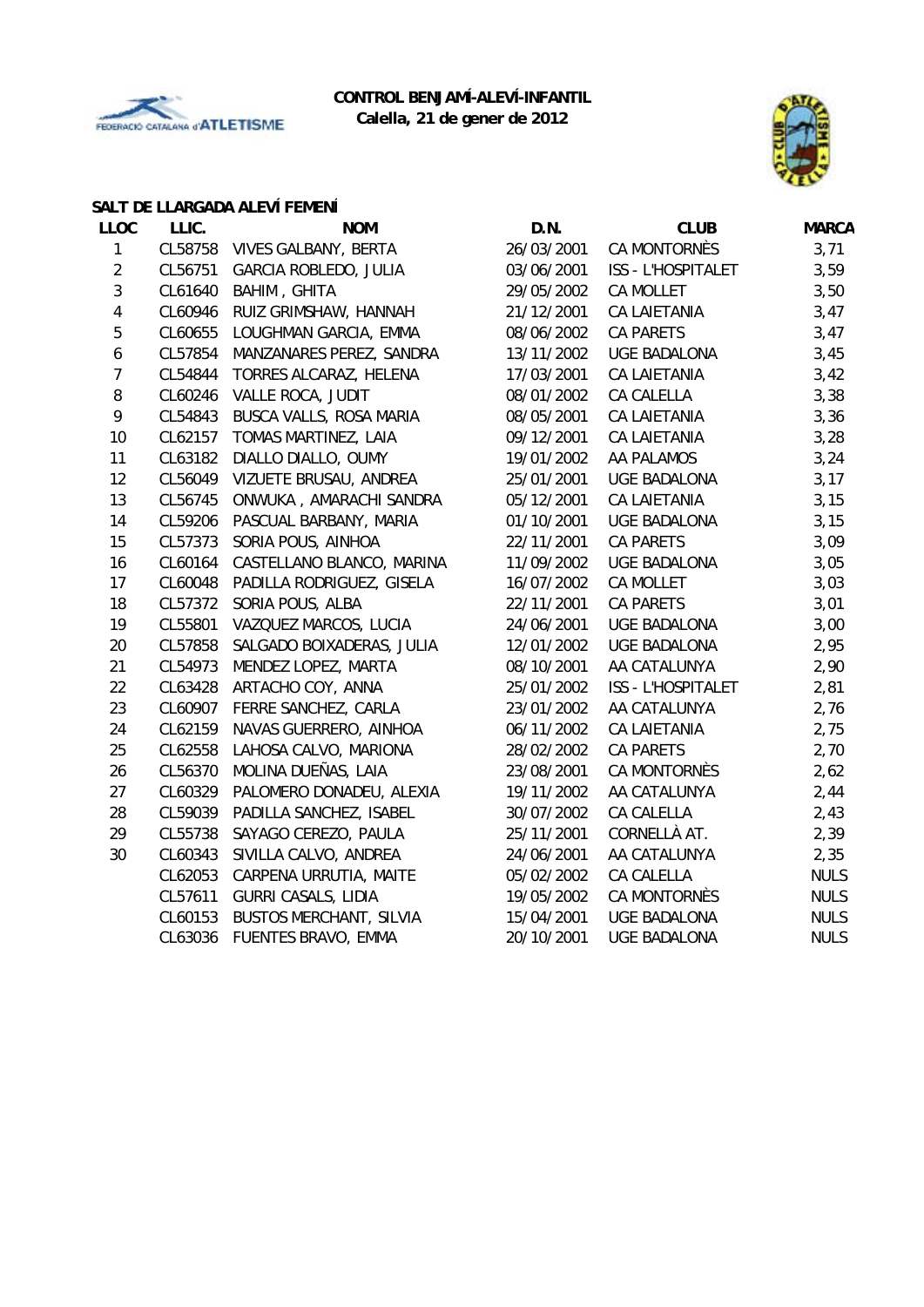



# **SALT DE LLARGADA ALEVÍ FEMENÍ**

| <b>LLOC</b>      | LLIC.   | <b>NOM</b>                     | D.N.       | <b>CLUB</b>         | <b>MARCA</b> |
|------------------|---------|--------------------------------|------------|---------------------|--------------|
| $\mathbf{1}$     | CL58758 | <b>VIVES GALBANY, BERTA</b>    | 26/03/2001 | CA MONTORNÈS        | 3,71         |
| $\overline{2}$   | CL56751 | GARCIA ROBLEDO, JULIA          | 03/06/2001 | ISS - L'HOSPITALET  | 3,59         |
| 3                | CL61640 | BAHIM, GHITA                   | 29/05/2002 | CA MOLLET           | 3,50         |
| 4                | CL60946 | RUIZ GRIMSHAW, HANNAH          | 21/12/2001 | <b>CA LAIETANIA</b> | 3,47         |
| 5                | CL60655 | LOUGHMAN GARCIA, EMMA          | 08/06/2002 | <b>CA PARETS</b>    | 3,47         |
| 6                | CL57854 | MANZANARES PEREZ, SANDRA       | 13/11/2002 | <b>UGE BADALONA</b> | 3,45         |
| $\boldsymbol{7}$ | CL54844 | TORRES ALCARAZ, HELENA         | 17/03/2001 | CA LAIETANIA        | 3,42         |
| 8                | CL60246 | VALLE ROCA, JUDIT              | 08/01/2002 | CA CALELLA          | 3,38         |
| 9                | CL54843 | BUSCA VALLS, ROSA MARIA        | 08/05/2001 | CA LAIETANIA        | 3,36         |
| 10               | CL62157 | TOMAS MARTINEZ, LAIA           | 09/12/2001 | CA LAIETANIA        | 3,28         |
| 11               | CL63182 | DIALLO DIALLO, OUMY            | 19/01/2002 | AA PALAMOS          | 3,24         |
| 12               | CL56049 | VIZUETE BRUSAU, ANDREA         | 25/01/2001 | <b>UGE BADALONA</b> | 3,17         |
| 13               | CL56745 | ONWUKA, AMARACHI SANDRA        | 05/12/2001 | CA LAIETANIA        | 3,15         |
| 14               | CL59206 | PASCUAL BARBANY, MARIA         | 01/10/2001 | <b>UGE BADALONA</b> | 3,15         |
| 15               | CL57373 | SORIA POUS, AINHOA             | 22/11/2001 | <b>CA PARETS</b>    | 3,09         |
| 16               | CL60164 | CASTELLANO BLANCO, MARINA      | 11/09/2002 | <b>UGE BADALONA</b> | 3,05         |
| 17               | CL60048 | PADILLA RODRIGUEZ, GISELA      | 16/07/2002 | CA MOLLET           | 3,03         |
| 18               | CL57372 | SORIA POUS, ALBA               | 22/11/2001 | <b>CA PARETS</b>    | 3,01         |
| 19               | CL55801 | VAZQUEZ MARCOS, LUCIA          | 24/06/2001 | <b>UGE BADALONA</b> | 3,00         |
| 20               | CL57858 | SALGADO BOIXADERAS, JULIA      | 12/01/2002 | <b>UGE BADALONA</b> | 2,95         |
| 21               | CL54973 | MENDEZ LOPEZ, MARTA            | 08/10/2001 | AA CATALUNYA        | 2,90         |
| 22               | CL63428 | ARTACHO COY, ANNA              | 25/01/2002 | ISS - L'HOSPITALET  | 2,81         |
| 23               | CL60907 | FERRE SANCHEZ, CARLA           | 23/01/2002 | AA CATALUNYA        | 2,76         |
| 24               | CL62159 | NAVAS GUERRERO, AINHOA         | 06/11/2002 | CA LAIETANIA        | 2,75         |
| 25               | CL62558 | LAHOSA CALVO, MARIONA          | 28/02/2002 | <b>CA PARETS</b>    | 2,70         |
| 26               | CL56370 | MOLINA DUEÑAS, LAIA            | 23/08/2001 | CA MONTORNÈS        | 2,62         |
| 27               | CL60329 | PALOMERO DONADEU, ALEXIA       | 19/11/2002 | AA CATALUNYA        | 2,44         |
| 28               | CL59039 | PADILLA SANCHEZ, ISABEL        | 30/07/2002 | CA CALELLA          | 2,43         |
| 29               | CL55738 | SAYAGO CEREZO, PAULA           | 25/11/2001 | CORNELLÀ AT.        | 2,39         |
| 30               | CL60343 | SIVILLA CALVO, ANDREA          | 24/06/2001 | AA CATALUNYA        | 2,35         |
|                  | CL62053 | CARPENA URRUTIA, MAITE         | 05/02/2002 | CA CALELLA          | <b>NULS</b>  |
|                  | CL57611 | <b>GURRI CASALS, LIDIA</b>     | 19/05/2002 | CA MONTORNÈS        | <b>NULS</b>  |
|                  | CL60153 | <b>BUSTOS MERCHANT, SILVIA</b> | 15/04/2001 | <b>UGE BADALONA</b> | <b>NULS</b>  |
|                  | CL63036 | FUENTES BRAVO, EMMA            | 20/10/2001 | UGE BADALONA        | <b>NULS</b>  |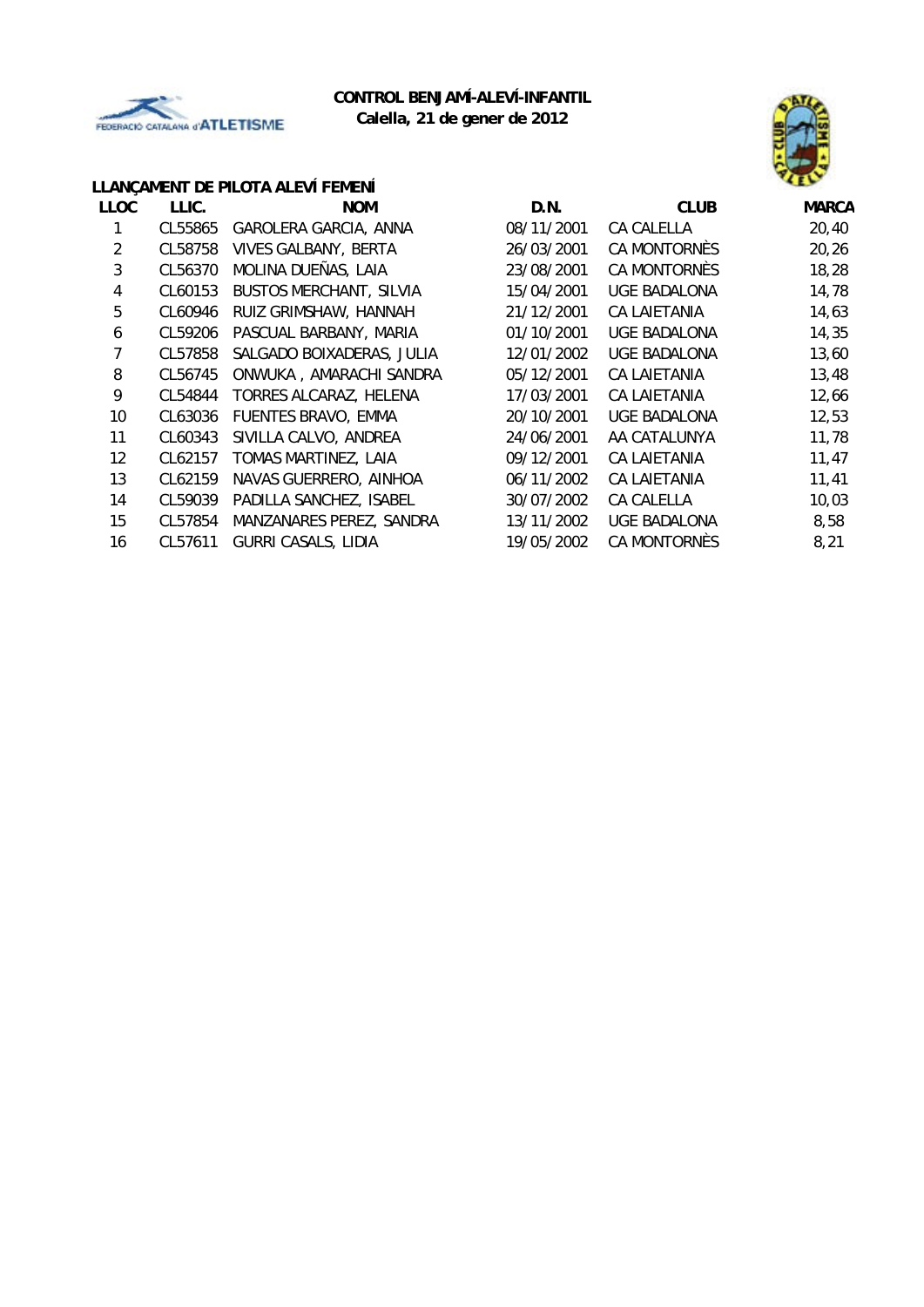



#### **LLANÇAMENT DE PILOTA ALEVÍ FEMENÍ**

| <b>LLOC</b> | LLIC.   | <b>NOM</b>                     | D.N.       | <b>CLUB</b>         | <b>MARCA</b> |
|-------------|---------|--------------------------------|------------|---------------------|--------------|
|             | CL55865 | GAROLERA GARCIA, ANNA          | 08/11/2001 | CA CALELLA          | 20,40        |
| 2           | CL58758 | <b>VIVES GALBANY, BERTA</b>    | 26/03/2001 | CA MONTORNÈS        | 20,26        |
| 3           | CL56370 | MOLINA DUEÑAS, LAIA            | 23/08/2001 | CA MONTORNES        | 18,28        |
| 4           | CL60153 | <b>BUSTOS MERCHANT, SILVIA</b> | 15/04/2001 | UGE BADALONA        | 14,78        |
| 5           | CL60946 | RUIZ GRIMSHAW, HANNAH          | 21/12/2001 | CA LAIETANIA        | 14,63        |
| 6           | CL59206 | PASCUAL BARBANY, MARIA         | 01/10/2001 | UGE BADALONA        | 14,35        |
| 7           | CL57858 | SALGADO BOIXADERAS, JULIA      | 12/01/2002 | UGE BADALONA        | 13,60        |
| 8           | CL56745 | ONWUKA, AMARACHI SANDRA        | 05/12/2001 | CA LAIETANIA        | 13,48        |
| 9           | CL54844 | TORRES ALCARAZ, HELENA         | 17/03/2001 | CA LAIETANIA        | 12,66        |
| 10          | CL63036 | FUENTES BRAVO, EMMA            | 20/10/2001 | UGE BADALONA        | 12,53        |
| 11          | CL60343 | SIVILLA CALVO, ANDREA          | 24/06/2001 | AA CATALUNYA        | 11,78        |
| 12          | CL62157 | TOMAS MARTINEZ, LAIA           | 09/12/2001 | CA LAIETANIA        | 11,47        |
| 13          | CL62159 | NAVAS GUERRERO, AINHOA         | 06/11/2002 | CA LAIETANIA        | 11,41        |
| 14          | CL59039 | PADILLA SANCHEZ, ISABEL        | 30/07/2002 | CA CALELLA          | 10,03        |
| 15          | CL57854 | MANZANARES PEREZ, SANDRA       | 13/11/2002 | <b>UGE BADALONA</b> | 8,58         |
| 16          | CL57611 | <b>GURRI CASALS, LIDIA</b>     | 19/05/2002 | CA MONTORNES        | 8,21         |
|             |         |                                |            |                     |              |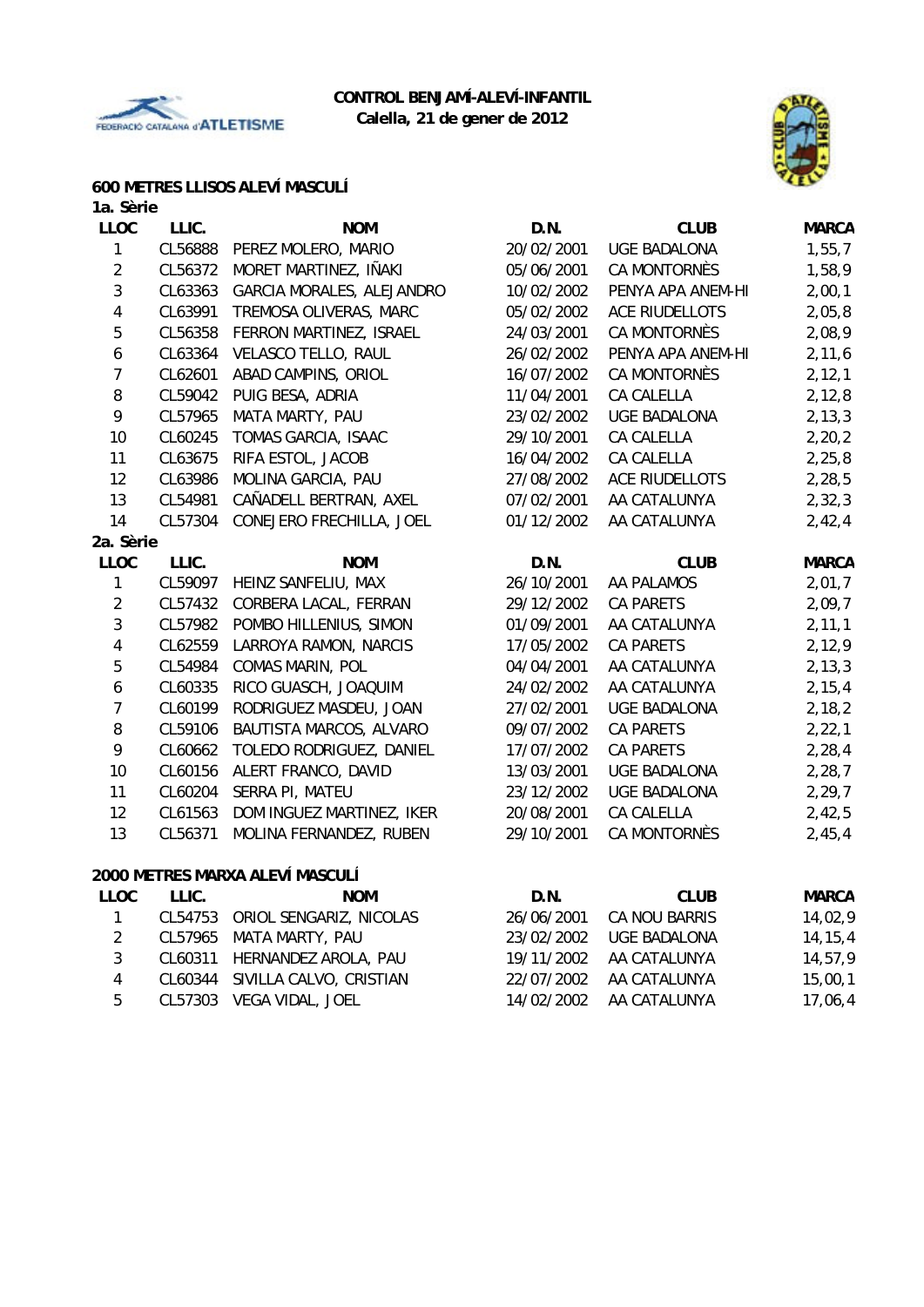



### **600 METRES LLISOS ALEVÍ MASCULÍ**

| 1a. Sèrie               |         |                                 |            |                       |              |
|-------------------------|---------|---------------------------------|------------|-----------------------|--------------|
| <b>LLOC</b>             | LLIC.   | <b>NOM</b>                      | D.N.       | <b>CLUB</b>           | <b>MARCA</b> |
| $\mathbf{1}$            | CL56888 | PEREZ MOLERO, MARIO             | 20/02/2001 | <b>UGE BADALONA</b>   | 1, 55, 7     |
| $\overline{2}$          | CL56372 | MORET MARTINEZ, IÑAKI           | 05/06/2001 | CA MONTORNÈS          | 1,58,9       |
| $\sqrt{3}$              | CL63363 | GARCIA MORALES, ALEJANDRO       | 10/02/2002 | PENYA APA ANEM-HI     | 2,00,1       |
| $\sqrt{4}$              | CL63991 | TREMOSA OLIVERAS, MARC          | 05/02/2002 | <b>ACE RIUDELLOTS</b> | 2,05,8       |
| 5                       | CL56358 | FERRON MARTINEZ, ISRAEL         | 24/03/2001 | CA MONTORNÈS          | 2,08,9       |
| $\boldsymbol{6}$        | CL63364 | <b>VELASCO TELLO, RAUL</b>      | 26/02/2002 | PENYA APA ANEM-HI     | 2, 11, 6     |
| $\overline{7}$          | CL62601 | ABAD CAMPINS, ORIOL             | 16/07/2002 | <b>CA MONTORNÈS</b>   | 2, 12, 1     |
| $\, 8$                  | CL59042 | PUIG BESA, ADRIA                | 11/04/2001 | CA CALELLA            | 2, 12, 8     |
| 9                       | CL57965 | MATA MARTY, PAU                 | 23/02/2002 | <b>UGE BADALONA</b>   | 2, 13, 3     |
| 10                      | CL60245 | TOMAS GARCIA, ISAAC             | 29/10/2001 | CA CALELLA            | 2, 20, 2     |
| 11                      | CL63675 | RIFA ESTOL, JACOB               | 16/04/2002 | CA CALELLA            | 2, 25, 8     |
| 12                      | CL63986 | MOLINA GARCIA, PAU              | 27/08/2002 | ACE RIUDELLOTS        | 2,28,5       |
| 13                      | CL54981 | CAÑADELL BERTRAN, AXEL          | 07/02/2001 | AA CATALUNYA          | 2, 32, 3     |
| 14                      | CL57304 | CONEJERO FRECHILLA, JOEL        | 01/12/2002 | AA CATALUNYA          | 2,42,4       |
| 2a. Sèrie               |         |                                 |            |                       |              |
| <b>LLOC</b>             | LLIC.   | <b>NOM</b>                      | D.N.       | <b>CLUB</b>           | <b>MARCA</b> |
| 1                       | CL59097 | HEINZ SANFELIU, MAX             | 26/10/2001 | AA PALAMOS            | 2,01,7       |
| $\overline{2}$          | CL57432 | CORBERA LACAL, FERRAN           | 29/12/2002 | CA PARETS             | 2,09,7       |
| $\mathfrak{Z}$          | CL57982 | POMBO HILLENIUS, SIMON          | 01/09/2001 | AA CATALUNYA          | 2, 11, 1     |
| $\overline{4}$          | CL62559 | LARROYA RAMON, NARCIS           | 17/05/2002 | <b>CA PARETS</b>      | 2,12,9       |
| 5                       | CL54984 | <b>COMAS MARIN, POL</b>         | 04/04/2001 | AA CATALUNYA          | 2, 13, 3     |
| $\boldsymbol{6}$        | CL60335 | RICO GUASCH, JOAQUIM            | 24/02/2002 | AA CATALUNYA          | 2, 15, 4     |
| $\overline{7}$          | CL60199 | RODRIGUEZ MASDEU, JOAN          | 27/02/2001 | <b>UGE BADALONA</b>   | 2,18,2       |
| $\, 8$                  | CL59106 | BAUTISTA MARCOS, ALVARO         | 09/07/2002 | <b>CA PARETS</b>      | 2, 22, 1     |
| 9                       | CL60662 | TOLEDO RODRIGUEZ, DANIEL        | 17/07/2002 | <b>CA PARETS</b>      | 2, 28, 4     |
| 10                      | CL60156 | ALERT FRANCO, DAVID             | 13/03/2001 | <b>UGE BADALONA</b>   | 2,28,7       |
| 11                      | CL60204 | SERRA PI, MATEU                 | 23/12/2002 | <b>UGE BADALONA</b>   | 2, 29, 7     |
| 12                      | CL61563 | DOM INGUEZ MARTINEZ, IKER       | 20/08/2001 | CA CALELLA            | 2,42,5       |
| 13                      | CL56371 | MOLINA FERNANDEZ, RUBEN         | 29/10/2001 | <b>CA MONTORNÈS</b>   | 2,45,4       |
|                         |         | 2000 METRES MARXA ALEVÍ MASCULÍ |            |                       |              |
| <b>LLOC</b>             | LLIC.   | <b>NOM</b>                      | D.N.       | <b>CLUB</b>           | <b>MARCA</b> |
| 1                       | CL54753 | ORIOL SENGARIZ, NICOLAS         | 26/06/2001 | CA NOU BARRIS         | 14,02,9      |
| $\overline{2}$          | CL57965 | MATA MARTY, PAU                 | 23/02/2002 | <b>UGE BADALONA</b>   | 14, 15, 4    |
| 3                       | CL60311 | HERNANDEZ AROLA, PAU            | 19/11/2002 | AA CATALUNYA          | 14,57,9      |
| $\overline{\mathbf{4}}$ | CL60344 | SIVILLA CALVO, CRISTIAN         | 22/07/2002 | AA CATALUNYA          | 15,00,1      |
| 5                       | CL57303 | VEGA VIDAL, JOEL                | 14/02/2002 | AA CATALUNYA          | 17,06,4      |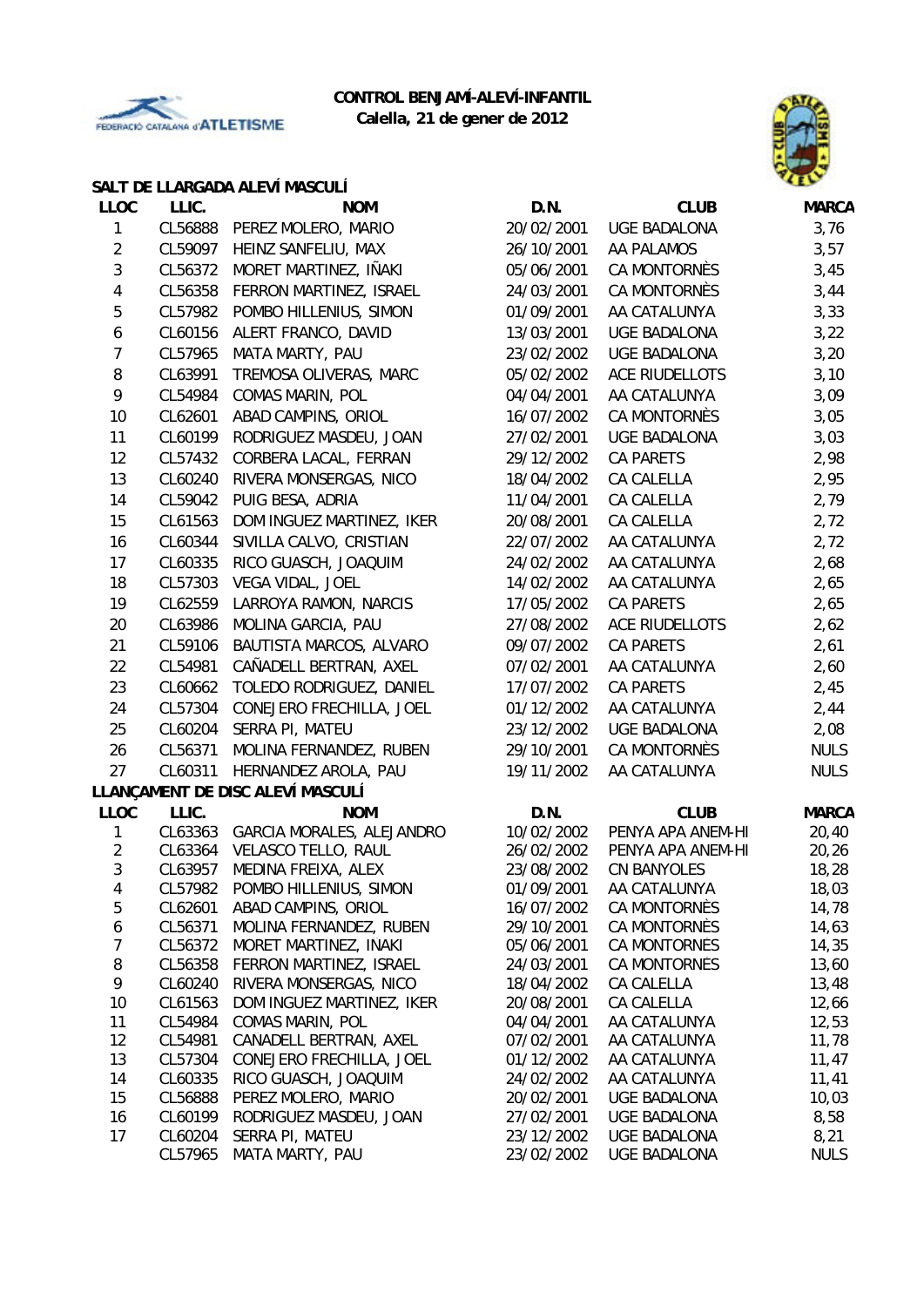



#### **SALT DE LLARGADA ALEVÍ MASCULÍ**

| <b>LLOC</b>      | LLIC.   | <b>NOM</b>                                            | D.N.                     | <b>CLUB</b>                  | <b>MARCA</b>   |
|------------------|---------|-------------------------------------------------------|--------------------------|------------------------------|----------------|
| 1                |         | CL56888 PEREZ MOLERO, MARIO                           | 20/02/2001               | <b>UGE BADALONA</b>          | 3,76           |
| $\overline{2}$   | CL59097 | HEINZ SANFELIU, MAX                                   | 26/10/2001               | AA PALAMOS                   | 3,57           |
| $\sqrt{3}$       | CL56372 | MORET MARTINEZ, IÑAKI                                 | 05/06/2001               | CA MONTORNÈS                 | 3,45           |
| 4                | CL56358 | FERRON MARTINEZ, ISRAEL                               | 24/03/2001               | CA MONTORNÈS                 | 3,44           |
| 5                | CL57982 | POMBO HILLENIUS, SIMON                                | 01/09/2001               | AA CATALUNYA                 | 3,33           |
| 6                | CL60156 | ALERT FRANCO, DAVID                                   | 13/03/2001               | <b>UGE BADALONA</b>          | 3,22           |
| 7                | CL57965 | MATA MARTY, PAU                                       | 23/02/2002               | <b>UGE BADALONA</b>          | 3,20           |
| 8                | CL63991 | TREMOSA OLIVERAS, MARC                                | 05/02/2002               | <b>ACE RIUDELLOTS</b>        | 3,10           |
| 9                | CL54984 | COMAS MARIN, POL                                      | 04/04/2001               | AA CATALUNYA                 | 3,09           |
| 10               | CL62601 | ABAD CAMPINS, ORIOL                                   | 16/07/2002               | CA MONTORNÈS                 | 3,05           |
| 11               | CL60199 | RODRIGUEZ MASDEU, JOAN                                | 27/02/2001               | <b>UGE BADALONA</b>          | 3,03           |
| 12               | CL57432 | CORBERA LACAL, FERRAN                                 | 29/12/2002               | CA PARETS                    | 2,98           |
| 13               | CL60240 | RIVERA MONSERGAS, NICO                                | 18/04/2002               | CA CALELLA                   | 2,95           |
| 14               | CL59042 | PUIG BESA, ADRIA                                      | 11/04/2001               | CA CALELLA                   | 2,79           |
| 15               | CL61563 | DOM INGUEZ MARTINEZ, IKER                             | 20/08/2001               | <b>CA CALELLA</b>            | 2,72           |
| 16               | CL60344 | SIVILLA CALVO, CRISTIAN                               | 22/07/2002               | AA CATALUNYA                 | 2,72           |
| 17               | CL60335 | RICO GUASCH, JOAQUIM                                  | 24/02/2002               | AA CATALUNYA                 | 2,68           |
| 18               | CL57303 | VEGA VIDAL, JOEL                                      | 14/02/2002               | AA CATALUNYA                 | 2,65           |
| 19               | CL62559 | LARROYA RAMON, NARCIS                                 | 17/05/2002               | CA PARETS                    |                |
|                  |         | MOLINA GARCIA, PAU                                    |                          | <b>ACE RIUDELLOTS</b>        | 2,65           |
| 20               | CL63986 |                                                       | 27/08/2002               |                              | 2,62           |
| 21               | CL59106 | BAUTISTA MARCOS, ALVARO                               | 09/07/2002               | <b>CA PARETS</b>             | 2,61           |
| 22               | CL54981 | CAÑADELL BERTRAN, AXEL                                | 07/02/2001               | AA CATALUNYA                 | 2,60           |
| 23               | CL60662 | TOLEDO RODRIGUEZ, DANIEL                              | 17/07/2002               | <b>CA PARETS</b>             | 2,45           |
| 24               | CL57304 | CONEJERO FRECHILLA, JOEL                              | 01/12/2002               | AA CATALUNYA                 | 2,44           |
| 25               | CL60204 | SERRA PI, MATEU                                       | 23/12/2002               | <b>UGE BADALONA</b>          | 2,08           |
| 26               | CL56371 | MOLINA FERNANDEZ, RUBEN                               | 29/10/2001               | CA MONTORNÈS                 | <b>NULS</b>    |
| 27               | CL60311 | HERNANDEZ AROLA, PAU                                  | 19/11/2002               | AA CATALUNYA                 | <b>NULS</b>    |
|                  |         | LLANÇAMENT DE DISC ALEVÍ MASCULÍ                      |                          |                              |                |
| <b>LLOC</b>      | LLIC.   | <b>NOM</b>                                            | D.N.                     | <b>CLUB</b>                  | <b>MARCA</b>   |
| 1                |         | CL63363 GARCIA MORALES, ALEJANDRO                     | 10/02/2002               | PENYA APA ANEM-HI            | 20,40          |
| $\overline{2}$   | CL63364 | VELASCO TELLO, RAUL                                   | 26/02/2002               | PENYA APA ANEM-HI            | 20, 26         |
| 3                | CL63957 | MEDINA FREIXA, ALEX                                   | 23/08/2002               | <b>CN BANYOLES</b>           | 18,28<br>18,03 |
| 4<br>5           | CL62601 | CL57982 POMBO HILLENIUS, SIMON<br>ABAD CAMPINS, ORIOL | 01/09/2001<br>16/07/2002 | AA CATALUNYA<br>CA MONTORNÈS | 14,78          |
| 6                | CL56371 | MOLINA FERNANDEZ, RUBEN                               | 29/10/2001               | CA MONTORNÈS                 | 14,63          |
| $\boldsymbol{7}$ | CL56372 | MORET MARTINEZ, IÑAKI                                 | 05/06/2001               | CA MONTORNÈS                 | 14,35          |
| 8                | CL56358 | FERRON MARTINEZ, ISRAEL                               | 24/03/2001               | CA MONTORNÈS                 | 13,60          |
| 9                | CL60240 | RIVERA MONSERGAS, NICO                                | 18/04/2002               | CA CALELLA                   | 13,48          |
| 10               | CL61563 | DOM INGUEZ MARTINEZ, IKER                             | 20/08/2001               | CA CALELLA                   | 12,66          |
| 11               | CL54984 | <b>COMAS MARIN, POL</b>                               | 04/04/2001               | AA CATALUNYA                 | 12,53          |
| 12               | CL54981 | CAÑADELL BERTRAN, AXEL                                | 07/02/2001               | AA CATALUNYA                 | 11,78          |
| 13               | CL57304 | CONEJERO FRECHILLA, JOEL                              | 01/12/2002               | AA CATALUNYA                 | 11,47          |
| 14               | CL60335 | RICO GUASCH, JOAQUIM                                  | 24/02/2002               | AA CATALUNYA                 | 11,41          |
| 15               | CL56888 | PEREZ MOLERO, MARIO                                   | 20/02/2001               | UGE BADALONA                 | 10,03          |
| 16               | CL60199 | RODRIGUEZ MASDEU, JOAN                                | 27/02/2001               | <b>UGE BADALONA</b>          | 8,58           |
| 17               | CL60204 | SERRA PI, MATEU                                       | 23/12/2002               | <b>UGE BADALONA</b>          | 8,21           |
|                  | CL57965 | MATA MARTY, PAU                                       | 23/02/2002               | <b>UGE BADALONA</b>          | <b>NULS</b>    |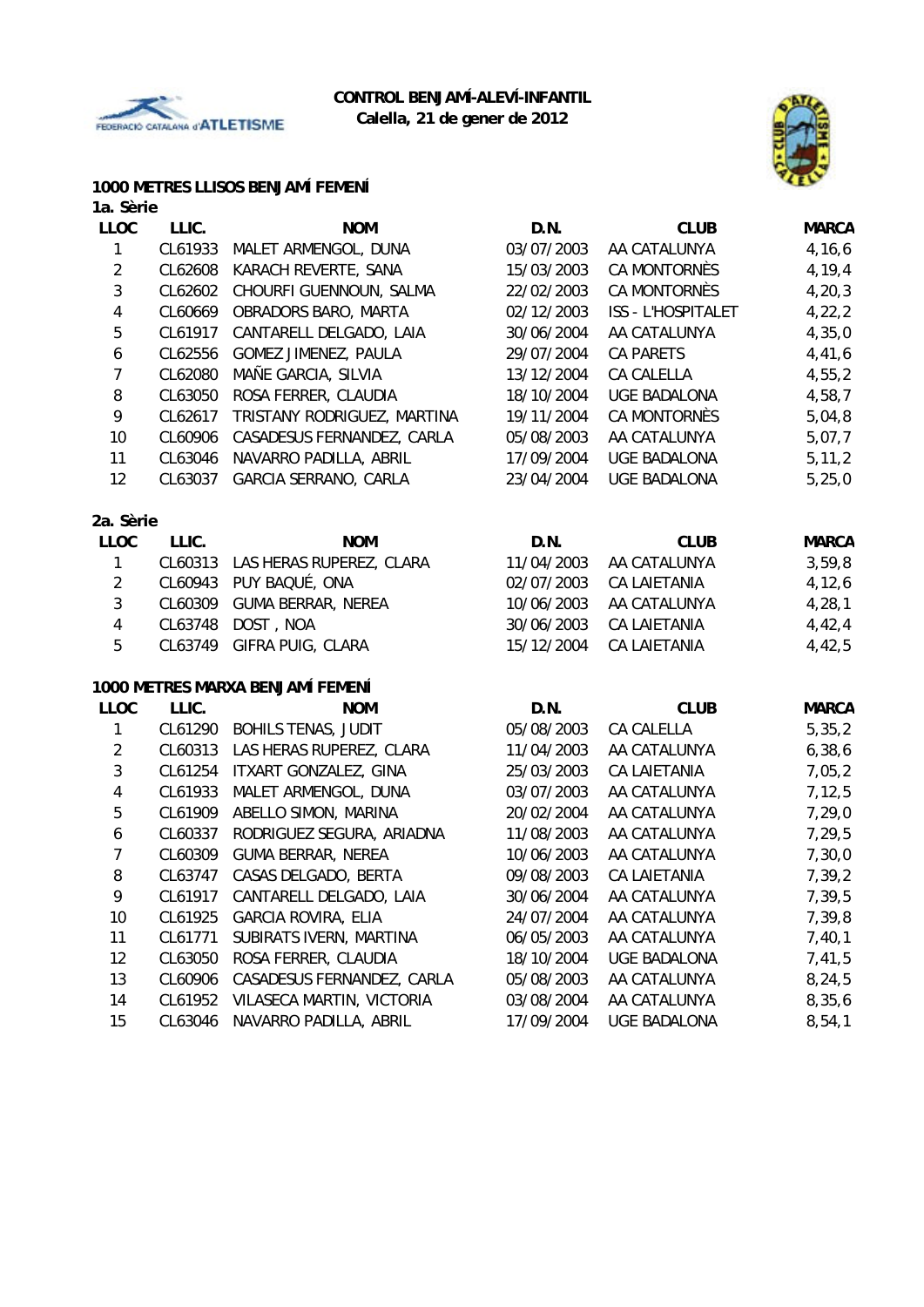



# **1000 METRES LLISOS BENJAMÍ FEMENÍ**

#### **1a. Sèrie**

| <b>LLOC</b>      | LLIC.   | <b>NOM</b>                       | D.N.       | <b>CLUB</b>         | <b>MARCA</b> |
|------------------|---------|----------------------------------|------------|---------------------|--------------|
| 1                | CL61933 | MALET ARMENGOL, DUNA             | 03/07/2003 | AA CATALUNYA        | 4,16,6       |
| $\overline{2}$   | CL62608 | KARACH REVERTE, SANA             | 15/03/2003 | CA MONTORNÈS        | 4,19,4       |
| 3                | CL62602 | CHOURFI GUENNOUN, SALMA          | 22/02/2003 | CA MONTORNÈS        | 4, 20, 3     |
| $\sqrt{4}$       | CL60669 | OBRADORS BARO, MARTA             | 02/12/2003 | ISS - L'HOSPITALET  | 4, 22, 2     |
| 5                | CL61917 | CANTARELL DELGADO, LAIA          | 30/06/2004 | AA CATALUNYA        | 4,35,0       |
| $\boldsymbol{6}$ | CL62556 | <b>GOMEZ JIMENEZ, PAULA</b>      | 29/07/2004 | CA PARETS           | 4,41,6       |
| $\overline{7}$   | CL62080 | MAÑE GARCIA, SILVIA              | 13/12/2004 | CA CALELLA          | 4,55,2       |
| 8                | CL63050 | ROSA FERRER, CLAUDIA             | 18/10/2004 | <b>UGE BADALONA</b> | 4,58,7       |
| 9                | CL62617 | TRISTANY RODRIGUEZ, MARTINA      | 19/11/2004 | <b>CA MONTORNÈS</b> | 5,04,8       |
| 10               | CL60906 | CASADESUS FERNANDEZ, CARLA       | 05/08/2003 | AA CATALUNYA        | 5,07,7       |
| 11               | CL63046 | NAVARRO PADILLA, ABRIL           | 17/09/2004 | <b>UGE BADALONA</b> | 5, 11, 2     |
| 12               | CL63037 | GARCIA SERRANO, CARLA            | 23/04/2004 | <b>UGE BADALONA</b> | 5,25,0       |
| 2a. Sèrie        |         |                                  |            |                     |              |
| <b>LLOC</b>      | LLIC.   | <b>NOM</b>                       | D.N.       | <b>CLUB</b>         | <b>MARCA</b> |
| $\mathbf{1}$     | CL60313 | LAS HERAS RUPEREZ, CLARA         | 11/04/2003 | AA CATALUNYA        | 3,59,8       |
| $\overline{2}$   | CL60943 | PUY BAQUÉ, ONA                   | 02/07/2003 | CA LAIETANIA        | 4, 12, 6     |
| $\mathfrak{Z}$   | CL60309 | <b>GUMA BERRAR, NEREA</b>        | 10/06/2003 | AA CATALUNYA        | 4, 28, 1     |
| $\overline{4}$   | CL63748 | DOST, NOA                        | 30/06/2003 | <b>CA LAIETANIA</b> | 4,42,4       |
| 5                | CL63749 | GIFRA PUIG, CLARA                | 15/12/2004 | <b>CA LAIETANIA</b> | 4,42,5       |
|                  |         | 1000 METRES MARXA BENJAMÍ FEMENÍ |            |                     |              |
| <b>LLOC</b>      | LLIC.   | <b>NOM</b>                       | D.N.       | <b>CLUB</b>         | <b>MARCA</b> |
| 1                | CL61290 | <b>BOHILS TENAS, JUDIT</b>       | 05/08/2003 | CA CALELLA          | 5, 35, 2     |
| $\overline{2}$   | CL60313 | LAS HERAS RUPEREZ, CLARA         | 11/04/2003 | AA CATALUNYA        | 6, 38, 6     |
| 3                | CL61254 | ITXART GONZALEZ, GINA            | 25/03/2003 | <b>CA LAIETANIA</b> | 7,05,2       |
| $\sqrt{4}$       | CL61933 | MALET ARMENGOL, DUNA             | 03/07/2003 | AA CATALUNYA        | 7, 12, 5     |
| $\sqrt{5}$       | CL61909 | ABELLO SIMON, MARINA             | 20/02/2004 | AA CATALUNYA        | 7,29,0       |
| $\boldsymbol{6}$ | CL60337 | RODRIGUEZ SEGURA, ARIADNA        | 11/08/2003 | AA CATALUNYA        | 7,29,5       |
| $\overline{7}$   | CL60309 | <b>GUMA BERRAR, NEREA</b>        | 10/06/2003 | AA CATALUNYA        | 7,30,0       |
| 8                | CL63747 | CASAS DELGADO, BERTA             | 09/08/2003 | <b>CA LAIETANIA</b> | 7,39,2       |
| 9                | CL61917 | CANTARELL DELGADO, LAIA          | 30/06/2004 | AA CATALUNYA        | 7,39,5       |
| 10               | CL61925 | <b>GARCIA ROVIRA, ELIA</b>       | 24/07/2004 | AA CATALUNYA        | 7,39,8       |
| 11               | CL61771 | SUBIRATS IVERN, MARTINA          | 06/05/2003 | AA CATALUNYA        | 7,40,1       |
| 12               | CL63050 | ROSA FERRER, CLAUDIA             | 18/10/2004 | <b>UGE BADALONA</b> | 7,41,5       |
| 13               | CL60906 | CASADESUS FERNANDEZ, CARLA       | 05/08/2003 | AA CATALUNYA        | 8,24,5       |
| 14               | CL61952 | VILASECA MARTIN, VICTORIA        | 03/08/2004 | AA CATALUNYA        | 8,35,6       |

15 CL63046 NAVARRO PADILLA, ABRIL 17/09/2004 UGE BADALONA 8,54,1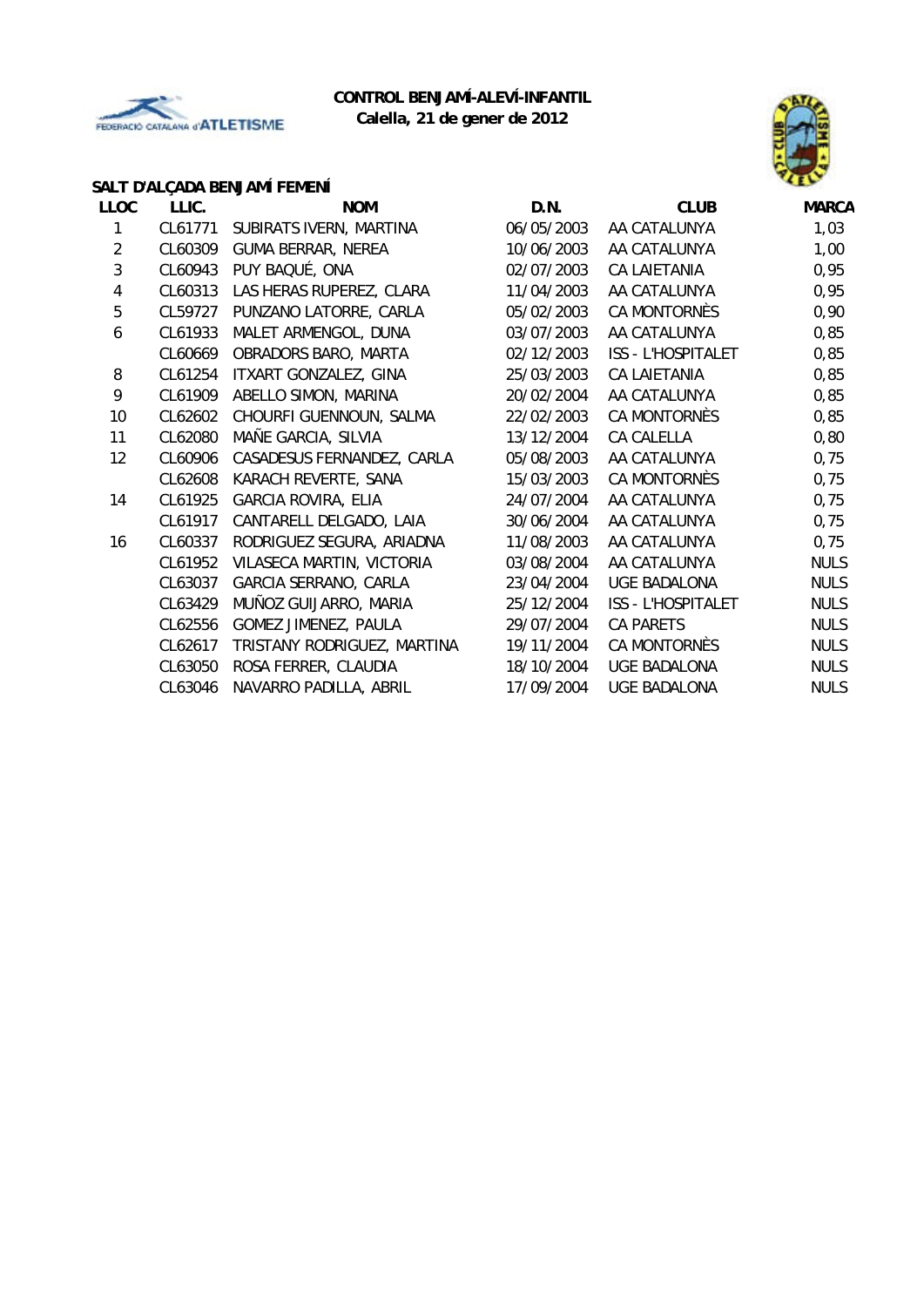



# **SALT D'ALÇADA BENJAMÍ FEMENÍ**

| LLIC.   | <b>NOM</b>                  | D.N.       | <b>CLUB</b>         | <b>MARCA</b> |
|---------|-----------------------------|------------|---------------------|--------------|
| CL61771 | SUBIRATS IVERN, MARTINA     | 06/05/2003 | AA CATALUNYA        | 1,03         |
| CL60309 | <b>GUMA BERRAR, NEREA</b>   | 10/06/2003 | AA CATALUNYA        | 1,00         |
| CL60943 | PUY BAQUÉ, ONA              | 02/07/2003 | <b>CA LAIETANIA</b> | 0,95         |
| CL60313 | LAS HERAS RUPEREZ, CLARA    | 11/04/2003 | AA CATALUNYA        | 0,95         |
| CL59727 | PUNZANO LATORRE, CARLA      | 05/02/2003 | CA MONTORNÈS        | 0,90         |
| CL61933 | MALET ARMENGOL, DUNA        | 03/07/2003 | AA CATALUNYA        | 0,85         |
| CL60669 | OBRADORS BARO, MARTA        | 02/12/2003 | ISS - L'HOSPITALET  | 0,85         |
| CL61254 | ITXART GONZALEZ, GINA       | 25/03/2003 | <b>CA LAIETANIA</b> | 0,85         |
| CL61909 | ABELLO SIMON, MARINA        | 20/02/2004 | AA CATALUNYA        | 0,85         |
| CL62602 | CHOURFI GUENNOUN, SALMA     | 22/02/2003 | CA MONTORNÈS        | 0,85         |
| CL62080 | MAÑE GARCIA, SILVIA         | 13/12/2004 | CA CALELLA          | 0,80         |
| CL60906 | CASADESUS FERNANDEZ, CARLA  | 05/08/2003 | AA CATALUNYA        | 0,75         |
| CL62608 | KARACH REVERTE, SANA        | 15/03/2003 | CA MONTORNÈS        | 0,75         |
| CL61925 | <b>GARCIA ROVIRA, ELIA</b>  | 24/07/2004 | AA CATALUNYA        | 0,75         |
| CL61917 | CANTARELL DELGADO, LAIA     | 30/06/2004 | AA CATALUNYA        | 0,75         |
| CL60337 | RODRIGUEZ SEGURA, ARIADNA   | 11/08/2003 | AA CATALUNYA        | 0,75         |
| CL61952 | VILASECA MARTIN, VICTORIA   | 03/08/2004 | AA CATALUNYA        | <b>NULS</b>  |
| CL63037 | GARCIA SERRANO, CARLA       | 23/04/2004 | <b>UGE BADALONA</b> | <b>NULS</b>  |
| CL63429 | MUÑOZ GUIJARRO, MARIA       | 25/12/2004 | ISS - L'HOSPITALET  | <b>NULS</b>  |
| CL62556 | GOMEZ JIMENEZ, PAULA        | 29/07/2004 | <b>CA PARETS</b>    | <b>NULS</b>  |
| CL62617 | TRISTANY RODRIGUEZ, MARTINA | 19/11/2004 | CA MONTORNÈS        | <b>NULS</b>  |
| CL63050 | ROSA FERRER, CLAUDIA        | 18/10/2004 | <b>UGE BADALONA</b> | <b>NULS</b>  |
| CL63046 | NAVARRO PADILLA, ABRIL      | 17/09/2004 | <b>UGE BADALONA</b> | <b>NULS</b>  |
|         |                             |            |                     |              |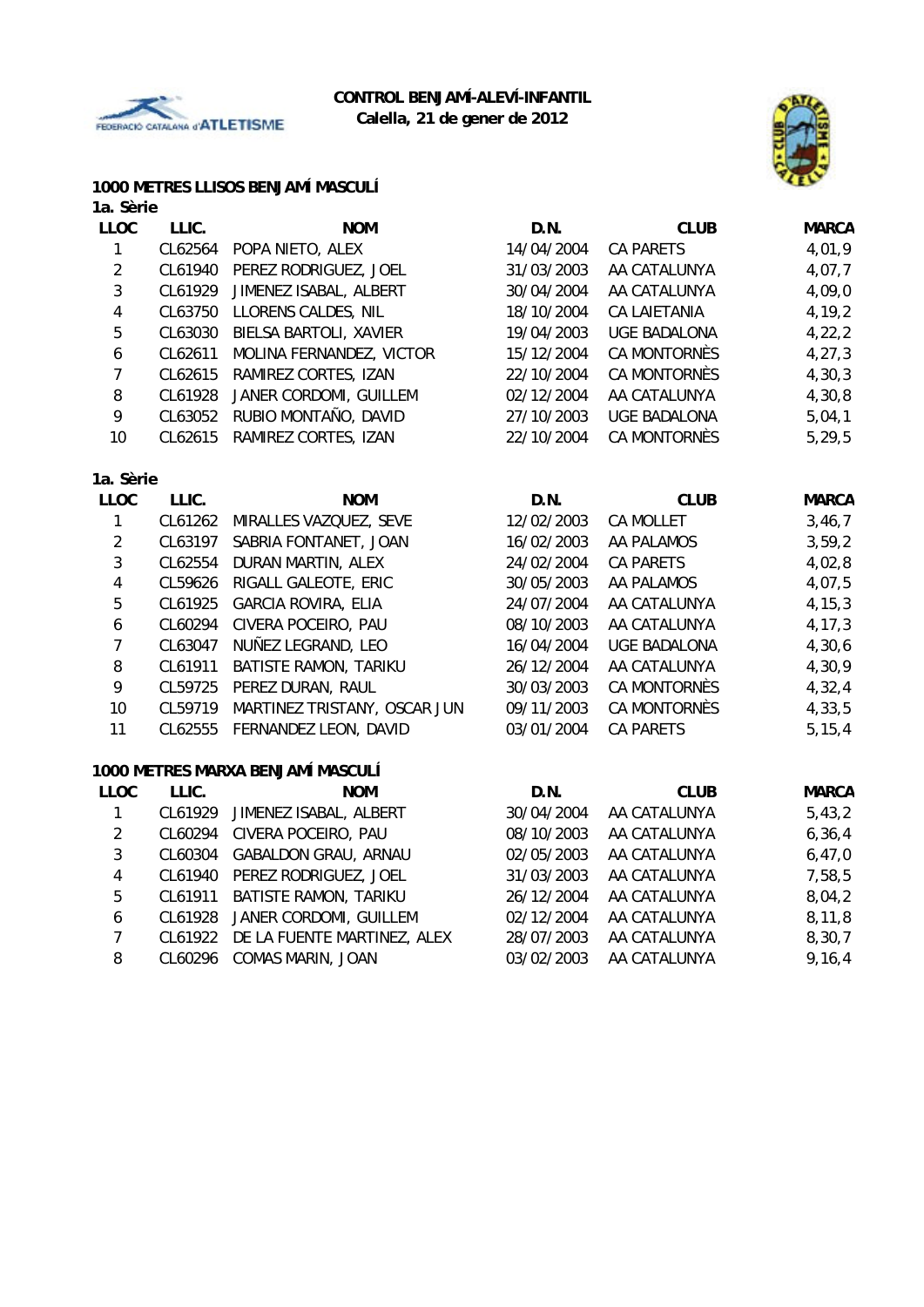



# **1000 METRES LLISOS BENJAMÍ MASCULÍ**

| 1a. Sèrie               |         |                                   |            |                     |              |
|-------------------------|---------|-----------------------------------|------------|---------------------|--------------|
| <b>LLOC</b>             | LLIC.   | <b>NOM</b>                        | D.N.       | <b>CLUB</b>         | <b>MARCA</b> |
| $\mathbf{1}$            | CL62564 | POPA NIETO, ALEX                  | 14/04/2004 | <b>CA PARETS</b>    | 4,01,9       |
| $\overline{2}$          | CL61940 | PEREZ RODRIGUEZ, JOEL             | 31/03/2003 | AA CATALUNYA        | 4,07,7       |
| 3                       | CL61929 | JIMENEZ ISABAL, ALBERT            | 30/04/2004 | AA CATALUNYA        | 4,09,0       |
| $\overline{\mathbf{4}}$ | CL63750 | LLORENS CALDES, NIL               | 18/10/2004 | <b>CA LAIETANIA</b> | 4,19,2       |
| 5                       | CL63030 | BIELSA BARTOLI, XAVIER            | 19/04/2003 | <b>UGE BADALONA</b> | 4,22,2       |
| $\boldsymbol{6}$        | CL62611 | MOLINA FERNANDEZ, VICTOR          | 15/12/2004 | CA MONTORNÈS        | 4, 27, 3     |
| $\overline{7}$          | CL62615 | RAMIREZ CORTES, IZAN              | 22/10/2004 | CA MONTORNÈS        | 4, 30, 3     |
| 8                       | CL61928 | JANER CORDOMI, GUILLEM            | 02/12/2004 | AA CATALUNYA        | 4,30,8       |
| 9                       | CL63052 | RUBIO MONTAÑO, DAVID              | 27/10/2003 | <b>UGE BADALONA</b> | 5,04,1       |
| 10                      | CL62615 | RAMIREZ CORTES, IZAN              | 22/10/2004 | CA MONTORNÈS        | 5,29,5       |
| 1a. Sèrie               |         |                                   |            |                     |              |
| <b>LLOC</b>             | LLIC.   | <b>NOM</b>                        | D.N.       | <b>CLUB</b>         | <b>MARCA</b> |
| $\mathbf{1}$            | CL61262 | MIRALLES VAZQUEZ, SEVE            | 12/02/2003 | <b>CA MOLLET</b>    | 3,46,7       |
| $\overline{a}$          | CL63197 | SABRIA FONTANET, JOAN             | 16/02/2003 | AA PALAMOS          | 3,59,2       |
| 3                       | CL62554 | DURAN MARTIN, ALEX                | 24/02/2004 | <b>CA PARETS</b>    | 4,02,8       |
| 4                       | CL59626 | RIGALL GALEOTE, ERIC              | 30/05/2003 | AA PALAMOS          | 4,07,5       |
| 5                       | CL61925 | <b>GARCIA ROVIRA, ELIA</b>        | 24/07/2004 | AA CATALUNYA        | 4, 15, 3     |
| 6                       | CL60294 | CIVERA POCEIRO, PAU               | 08/10/2003 | AA CATALUNYA        | 4, 17, 3     |
| $\overline{7}$          | CL63047 | NUÑEZ LEGRAND, LEO                | 16/04/2004 | <b>UGE BADALONA</b> | 4,30,6       |
| 8                       | CL61911 | BATISTE RAMON, TARIKU             | 26/12/2004 | AA CATALUNYA        | 4,30,9       |
| 9                       | CL59725 | PEREZ DURAN, RAUL                 | 30/03/2003 | CA MONTORNÈS        | 4,32,4       |
| 10                      | CL59719 | MARTINEZ TRISTANY, OSCAR JUN      | 09/11/2003 | <b>CA MONTORNÈS</b> | 4,33,5       |
| 11                      | CL62555 | FERNANDEZ LEON, DAVID             | 03/01/2004 | <b>CA PARETS</b>    | 5, 15, 4     |
|                         |         | 1000 METRES MARXA BENJAMÍ MASCULÍ |            |                     |              |
| <b>LLOC</b>             | LLIC.   | <b>NOM</b>                        | D.N.       | <b>CLUB</b>         | <b>MARCA</b> |
| 1                       | CL61929 | JIMENEZ ISABAL, ALBERT            | 30/04/2004 | AA CATALUNYA        | 5,43,2       |
| $\overline{2}$          | CL60294 | CIVERA POCEIRO, PAU               | 08/10/2003 | AA CATALUNYA        | 6, 36, 4     |
| 3                       | CL60304 | <b>GABALDON GRAU, ARNAU</b>       | 02/05/2003 | AA CATALUNYA        | 6,47,0       |
| $\overline{\mathbf{4}}$ | CL61940 | PEREZ RODRIGUEZ, JOEL             | 31/03/2003 | AA CATALUNYA        | 7,58,5       |
| 5                       | CL61911 | BATISTE RAMON, TARIKU             | 26/12/2004 | AA CATALUNYA        | 8,04,2       |
| $\boldsymbol{6}$        | CL61928 | JANER CORDOMI, GUILLEM            | 02/12/2004 | AA CATALUNYA        | 8, 11, 8     |
| $\overline{7}$          | CL61922 | DE LA FUENTE MARTINEZ, ALEX       | 28/07/2003 | AA CATALUNYA        | 8,30,7       |
| 8                       | CL60296 | COMAS MARIN, JOAN                 | 03/02/2003 | AA CATALUNYA        | 9,16,4       |